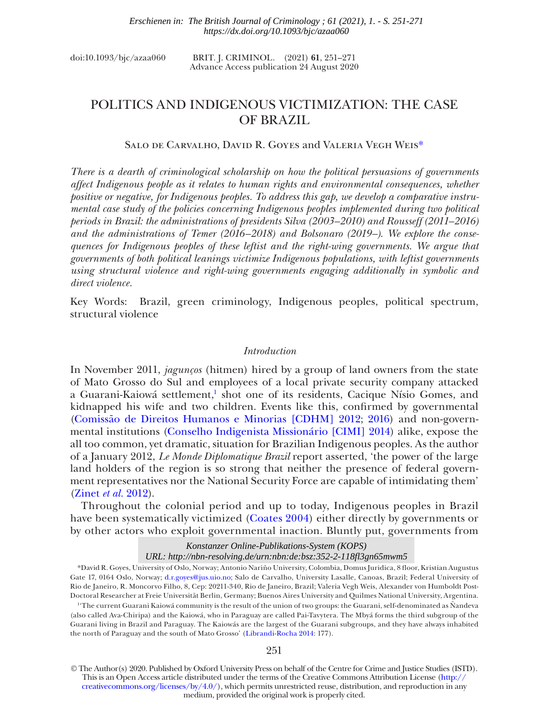| doi:10.1093/bjc/azaa060 | BRIT. J. CRIMINOL. (2021) 61, 251-271 |  |                                    |
|-------------------------|---------------------------------------|--|------------------------------------|
|                         |                                       |  | $\sim$ 11. $\sim$ 0.4 $\sim$ 0.000 |

#### Advance Access publication 24 August 2020

# POLITICS AND INDIGENOUS VICTIMIZATION: THE CASE OF BRAZIL

# Salo de Carvalho, David R. Goyes and Valeria Vegh Wei[s\\*](#page-0-0)

*There is a dearth of criminological scholarship on how the political persuasions of governments affect Indigenous people as it relates to human rights and environmental consequences, whether positive or negative, for Indigenous peoples. To address this gap, we develop a comparative instrumental case study of the policies concerning Indigenous peoples implemented during two political periods in Brazil: the administrations of presidents Silva (2003–2010) and Rousseff (2011–2016) and the administrations of Temer (2016–2018) and Bolsonaro (2019–). We explore the consequences for Indigenous peoples of these leftist and the right-wing governments. We argue that governments of both political leanings victimize Indigenous populations, with leftist governments using structural violence and right-wing governments engaging additionally in symbolic and direct violence.*

Key Words: Brazil, green criminology, Indigenous peoples, political spectrum, structural violence

# *Introduction*

In November 2011, *jagunços* (hitmen) hired by a group of land owners from the state of Mato Grosso do Sul and employees of a local private security company attacked a Guarani-Kaiowá settlement,<sup>1</sup> shot one of its residents, Cacique Nísio Gomes, and kidnapped his wife and two children. Events like this, confirmed by governmental [\(Comissão de Direitos Humanos e Minorias \[CDHM\] 2012](#page-15-0); [2016](#page-15-1)) and non-governmental institutions [\(Conselho Indigenista Missionário \[CIMI\] 2014\)](#page-15-2) alike, expose the all too common, yet dramatic, situation for Brazilian Indigenous peoples. As the author of a January 2012, *Le Monde Diplomatique Brazil* report asserted, 'the power of the large land holders of the region is so strong that neither the presence of federal government representatives nor the National Security Force are capable of intimidating them' [\(Zinet](#page-20-0) *et al.* 2012).

Throughout the colonial period and up to today, Indigenous peoples in Brazil have been systematically victimized [\(Coates 2004](#page-15-3)) either directly by governments or by other actors who exploit governmental inaction. Bluntly put, governments from

> *Konstanzer Online-Publikations-System (KOPS) URL: http://nbn-resolving.de/urn:nbn:de:bsz:352-2-118fl3gn65mwm5*

<span id="page-0-0"></span>\*David R. Goyes, University of Oslo, Norway; Antonio Nariño University, Colombia, Domus Juridica, 8 floor, Kristian Augustus Gate 17, 0164 Oslo, Norway; [d.r.goyes@jus.uio.no;](mailto:d.r.goyes@jus.uio.no?subject=) Salo de Carvalho, University Lasalle, Canoas, Brazil; Federal University of Rio de Janeiro, R. Moncorvo Filho, 8, Cep: 20211-340, Rio de Janeiro, Brazil; Valeria Vegh Weis, Alexander von Humboldt Post-Doctoral Researcher at Freie Universität Berlin, Germany; Buenos Aires University and Quilmes National University, Argentina.

<span id="page-0-1"></span><sup>14</sup>The current Guarani Kaiowá community is the result of the union of two groups: the Guarani, self-denominated as Nandeva (also called Ava-Chiripa) and the Kaiowá, who in Paraguay are called Pai-Tavytera. The Mbyá forms the third subgroup of the Guarani living in Brazil and Paraguay. The Kaiowás are the largest of the Guarani subgroups, and they have always inhabited the north of Paraguay and the south of Mato Grosso' [\(Librandi-Rocha 2014](#page-18-0): 177).

# 251

This is an Open Access article distributed under the terms of the Creative Commons Attribution License [\(http://](http://creativecommons.org/licenses/by/4.0/) [creativecommons.org/licenses/by/4.0/\)](http://creativecommons.org/licenses/by/4.0/), which permits unrestricted reuse, distribution, and reproduction in any medium, provided the original work is properly cited. © The Author(s) 2020. Published by Oxford University Press on behalf of the Centre for Crime and Justice Studies (ISTD).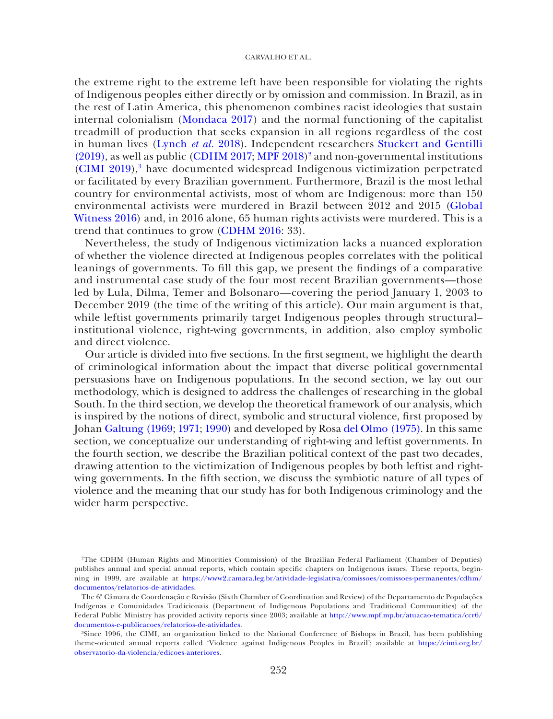the extreme right to the extreme left have been responsible for violating the rights of Indigenous peoples either directly or by omission and commission. In Brazil, as in the rest of Latin America, this phenomenon combines racist ideologies that sustain internal colonialism ([Mondaca 2017](#page-18-1)) and the normal functioning of the capitalist treadmill of production that seeks expansion in all regions regardless of the cost in human lives ([Lynch](#page-18-2) *et al.* 2018). Independent researchers [Stuckert and Gentilli](#page-20-1)   $(2019)$ , as well as public [\(CDHM 2017](#page-15-4); [MPF 2018](#page-18-3))<sup>2</sup> and non-governmental institutions [\(CIMI 2019\)](#page-16-0),<sup>[3](#page-1-1)</sup> have documented widespread Indigenous victimization perpetrated or facilitated by every Brazilian government. Furthermore, Brazil is the most lethal country for environmental activists, most of whom are Indigenous: more than 150 environmental activists were murdered in Brazil between 2012 and 2015 [\(Global](#page-17-0)  [Witness 2016](#page-17-0)) and, in 2016 alone, 65 human rights activists were murdered. This is a trend that continues to grow [\(CDHM 2016](#page-15-1): 33).

Nevertheless, the study of Indigenous victimization lacks a nuanced exploration of whether the violence directed at Indigenous peoples correlates with the political leanings of governments. To fill this gap, we present the findings of a comparative and instrumental case study of the four most recent Brazilian governments—those led by Lula, Dilma, Temer and Bolsonaro—covering the period January 1, 2003 to December 2019 (the time of the writing of this article). Our main argument is that, while leftist governments primarily target Indigenous peoples through structural– institutional violence, right-wing governments, in addition, also employ symbolic and direct violence.

Our article is divided into five sections. In the first segment, we highlight the dearth of criminological information about the impact that diverse political governmental persuasions have on Indigenous populations. In the second section, we lay out our methodology, which is designed to address the challenges of researching in the global South. In the third section, we develop the theoretical framework of our analysis, which is inspired by the notions of direct, symbolic and structural violence, first proposed by Johan [Galtung \(1969](#page-17-1); [1971](#page-17-2); [1990\)](#page-17-3) and developed by Rosa [del Olmo \(1975\)](#page-19-0). In this same section, we conceptualize our understanding of right-wing and leftist governments. In the fourth section, we describe the Brazilian political context of the past two decades, drawing attention to the victimization of Indigenous peoples by both leftist and rightwing governments. In the fifth section, we discuss the symbiotic nature of all types of violence and the meaning that our study has for both Indigenous criminology and the wider harm perspective.

<span id="page-1-0"></span><sup>2</sup> The CDHM (Human Rights and Minorities Commission) of the Brazilian Federal Parliament (Chamber of Deputies) publishes annual and special annual reports, which contain specific chapters on Indigenous issues. These reports, beginning in 1999, are available at [https://www2.camara.leg.br/atividade-legislativa/comissoes/comissoes-permanentes/cdhm/](https://www2.camara.leg.br/atividade-legislativa/comissoes/comissoes-permanentes/cdhm/documentos/relatorios-de-atividades) [documentos/relatorios-de-atividades](https://www2.camara.leg.br/atividade-legislativa/comissoes/comissoes-permanentes/cdhm/documentos/relatorios-de-atividades).

The 6ª Câmara de Coordenação e Revisão (Sixth Chamber of Coordination and Review) of the Departamento de Populações Indígenas e Comunidades Tradicionais (Department of Indigenous Populations and Traditional Communities) of the Federal Public Ministry has provided activity reports since 2003; available at [http://www.mpf.mp.br/atuacao-tematica/ccr6/](http://www.mpf.mp.br/atuacao-tematica/ccr6/documentos-e-publicacoes/relatorios-de-atividades) [documentos-e-publicacoes/relatorios-de-atividades.](http://www.mpf.mp.br/atuacao-tematica/ccr6/documentos-e-publicacoes/relatorios-de-atividades)

<span id="page-1-1"></span><sup>3</sup> Since 1996, the CIMI, an organization linked to the National Conference of Bishops in Brazil, has been publishing theme-oriented annual reports called 'Violence against Indigenous Peoples in Brazil'; available at [https://cimi.org.br/](https://cimi.org.br/observatorio-da-violencia/edicoes-anteriores) [observatorio-da-violencia/edicoes-anteriores.](https://cimi.org.br/observatorio-da-violencia/edicoes-anteriores)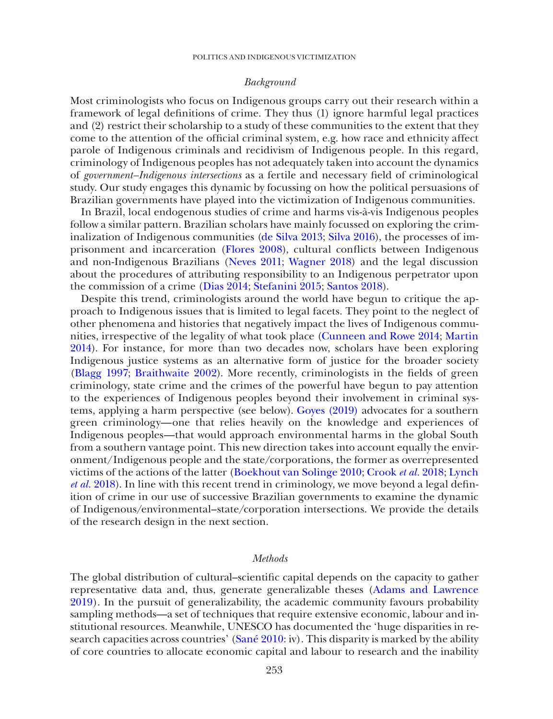## *Background*

Most criminologists who focus on Indigenous groups carry out their research within a framework of legal definitions of crime. They thus (1) ignore harmful legal practices and (2) restrict their scholarship to a study of these communities to the extent that they come to the attention of the official criminal system, e.g. how race and ethnicity affect parole of Indigenous criminals and recidivism of Indigenous people. In this regard, criminology of Indigenous peoples has not adequately taken into account the dynamics of *government–Indigenous intersections* as a fertile and necessary field of criminological study. Our study engages this dynamic by focussing on how the political persuasions of Brazilian governments have played into the victimization of Indigenous communities.

In Brazil, local endogenous studies of crime and harms vis-à-vis Indigenous peoples follow a similar pattern. Brazilian scholars have mainly focussed on exploring the criminalization of Indigenous communities [\(de Silva 2013;](#page-19-1) [Silva 2016](#page-19-2)), the processes of imprisonment and incarceration ([Flores 2008](#page-17-4)), cultural conflicts between Indigenous and non-Indigenous Brazilians ([Neves 2011;](#page-19-3) [Wagner 2018](#page-20-2)) and the legal discussion about the procedures of attributing responsibility to an Indigenous perpetrator upon the commission of a crime ([Dias 2014](#page-16-1); [Stefanini 2015](#page-20-3); [Santos 2018](#page-19-4)).

Despite this trend, criminologists around the world have begun to critique the approach to Indigenous issues that is limited to legal facets. They point to the neglect of other phenomena and histories that negatively impact the lives of Indigenous communities, irrespective of the legality of what took place [\(Cunneen and Rowe 2014](#page-16-2); [Martin](#page-18-4)  [2014](#page-18-4)). For instance, for more than two decades now, scholars have been exploring Indigenous justice systems as an alternative form of justice for the broader society ([Blagg 1997;](#page-14-0) [Braithwaite 2002\)](#page-14-1). More recently, criminologists in the fields of green criminology, state crime and the crimes of the powerful have begun to pay attention to the experiences of Indigenous peoples beyond their involvement in criminal systems, applying a harm perspective (see below). [Goyes \(2019\)](#page-17-5) advocates for a southern green criminology—one that relies heavily on the knowledge and experiences of Indigenous peoples—that would approach environmental harms in the global South from a southern vantage point. This new direction takes into account equally the environment/Indigenous people and the state/corporations, the former as overrepresented victims of the actions of the latter ([Boekhout van Solinge 2010;](#page-14-2) [Crook](#page-16-3) *et al.* 2018; [Lynch](#page-18-2)  *et al.* [2018](#page-18-2)). In line with this recent trend in criminology, we move beyond a legal definition of crime in our use of successive Brazilian governments to examine the dynamic of Indigenous/environmental–state/corporation intersections. We provide the details of the research design in the next section.

## *Methods*

The global distribution of cultural–scientific capital depends on the capacity to gather representative data and, thus, generate generalizable theses ([Adams and Lawrence](#page-14-3)  [2019\)](#page-14-3). In the pursuit of generalizability, the academic community favours probability sampling methods—a set of techniques that require extensive economic, labour and institutional resources. Meanwhile, UNESCO has documented the 'huge disparities in research capacities across countries' ([Sané 2010:](#page-19-5) iv). This disparity is marked by the ability of core countries to allocate economic capital and labour to research and the inability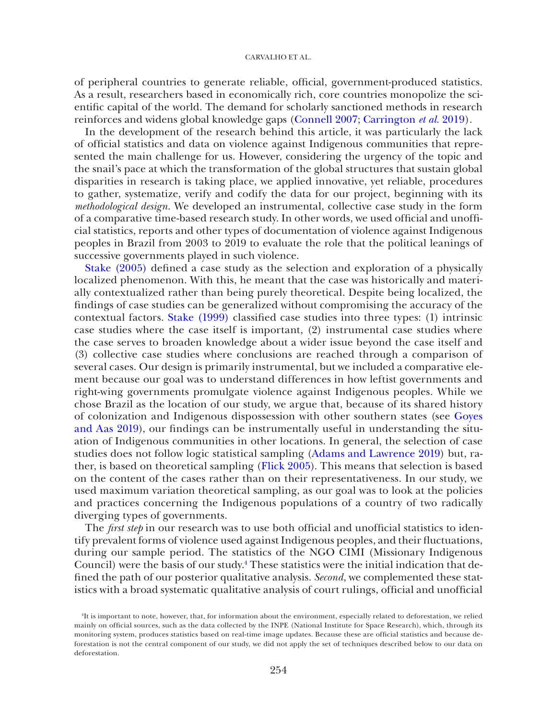of peripheral countries to generate reliable, official, government-produced statistics. As a result, researchers based in economically rich, core countries monopolize the scientific capital of the world. The demand for scholarly sanctioned methods in research reinforces and widens global knowledge gaps [\(Connell 2007;](#page-15-5) [Carrington](#page-15-6) *et al.* 2019).

In the development of the research behind this article, it was particularly the lack of official statistics and data on violence against Indigenous communities that represented the main challenge for us. However, considering the urgency of the topic and the snail's pace at which the transformation of the global structures that sustain global disparities in research is taking place, we applied innovative, yet reliable, procedures to gather, systematize, verify and codify the data for our project, beginning with its *methodological design*. We developed an instrumental, collective case study in the form of a comparative time-based research study. In other words, we used official and unofficial statistics, reports and other types of documentation of violence against Indigenous peoples in Brazil from 2003 to 2019 to evaluate the role that the political leanings of successive governments played in such violence.

[Stake \(2005\)](#page-19-6) defined a case study as the selection and exploration of a physically localized phenomenon. With this, he meant that the case was historically and materially contextualized rather than being purely theoretical. Despite being localized, the findings of case studies can be generalized without compromising the accuracy of the contextual factors. [Stake \(1999\)](#page-19-7) classified case studies into three types: (1) intrinsic case studies where the case itself is important, (2) instrumental case studies where the case serves to broaden knowledge about a wider issue beyond the case itself and (3) collective case studies where conclusions are reached through a comparison of several cases. Our design is primarily instrumental, but we included a comparative element because our goal was to understand differences in how leftist governments and right-wing governments promulgate violence against Indigenous peoples. While we chose Brazil as the location of our study, we argue that, because of its shared history of colonization and Indigenous dispossession with other southern states (see [Goyes](#page-17-6)  [and Aas 2019](#page-17-6)), our findings can be instrumentally useful in understanding the situation of Indigenous communities in other locations. In general, the selection of case studies does not follow logic statistical sampling [\(Adams and Lawrence 2019](#page-14-3)) but, rather, is based on theoretical sampling [\(Flick 2005\)](#page-17-7). This means that selection is based on the content of the cases rather than on their representativeness. In our study, we used maximum variation theoretical sampling, as our goal was to look at the policies and practices concerning the Indigenous populations of a country of two radically diverging types of governments.

The *first step* in our research was to use both official and unofficial statistics to identify prevalent forms of violence used against Indigenous peoples, and their fluctuations, during our sample period. The statistics of the NGO CIMI (Missionary Indigenous Council) were the basis of our study.[4](#page-3-0) These statistics were the initial indication that defined the path of our posterior qualitative analysis. *Second*, we complemented these statistics with a broad systematic qualitative analysis of court rulings, official and unofficial

<span id="page-3-0"></span><sup>4</sup> It is important to note, however, that, for information about the environment, especially related to deforestation, we relied mainly on official sources, such as the data collected by the INPE (National Institute for Space Research), which, through its monitoring system, produces statistics based on real-time image updates. Because these are official statistics and because deforestation is not the central component of our study, we did not apply the set of techniques described below to our data on deforestation.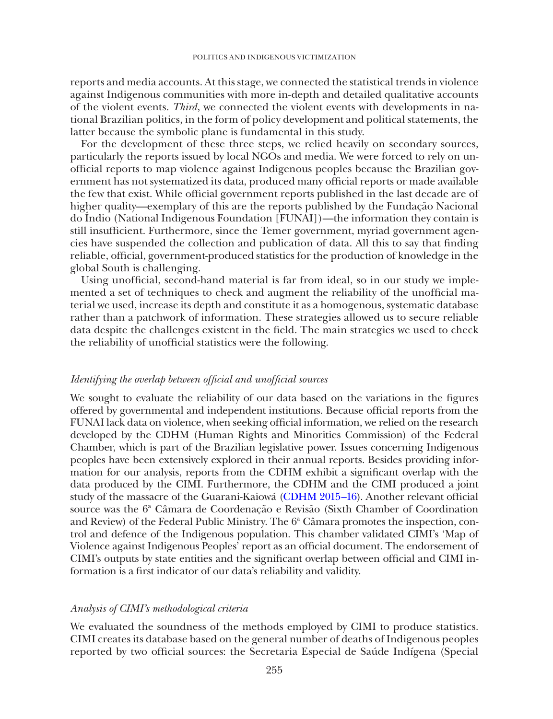reports and media accounts. At this stage, we connected the statistical trends in violence against Indigenous communities with more in-depth and detailed qualitative accounts of the violent events. *Third*, we connected the violent events with developments in national Brazilian politics, in the form of policy development and political statements, the latter because the symbolic plane is fundamental in this study.

For the development of these three steps, we relied heavily on secondary sources, particularly the reports issued by local NGOs and media. We were forced to rely on unofficial reports to map violence against Indigenous peoples because the Brazilian government has not systematized its data, produced many official reports or made available the few that exist. While official government reports published in the last decade are of higher quality—exemplary of this are the reports published by the Fundação Nacional do Índio (National Indigenous Foundation [FUNAI])—the information they contain is still insufficient. Furthermore, since the Temer government, myriad government agencies have suspended the collection and publication of data. All this to say that finding reliable, official, government-produced statistics for the production of knowledge in the global South is challenging.

Using unofficial, second-hand material is far from ideal, so in our study we implemented a set of techniques to check and augment the reliability of the unofficial material we used, increase its depth and constitute it as a homogenous, systematic database rather than a patchwork of information. These strategies allowed us to secure reliable data despite the challenges existent in the field. The main strategies we used to check the reliability of unofficial statistics were the following.

# *Identifying the overlap between official and unofficial sources*

We sought to evaluate the reliability of our data based on the variations in the figures offered by governmental and independent institutions. Because official reports from the FUNAI lack data on violence, when seeking official information, we relied on the research developed by the CDHM (Human Rights and Minorities Commission) of the Federal Chamber, which is part of the Brazilian legislative power. Issues concerning Indigenous peoples have been extensively explored in their annual reports. Besides providing information for our analysis, reports from the CDHM exhibit a significant overlap with the data produced by the CIMI. Furthermore, the CDHM and the CIMI produced a joint study of the massacre of the Guarani-Kaiowá [\(CDHM 2015–16](#page-15-7)). Another relevant official source was the 6ª Câmara de Coordenação e Revisão (Sixth Chamber of Coordination and Review) of the Federal Public Ministry. The 6ª Câmara promotes the inspection, control and defence of the Indigenous population. This chamber validated CIMI's 'Map of Violence against Indigenous Peoples' report as an official document. The endorsement of CIMI's outputs by state entities and the significant overlap between official and CIMI information is a first indicator of our data's reliability and validity.

# *Analysis of CIMI's methodological criteria*

We evaluated the soundness of the methods employed by CIMI to produce statistics. CIMI creates its database based on the general number of deaths of Indigenous peoples reported by two official sources: the Secretaria Especial de Saúde Indígena (Special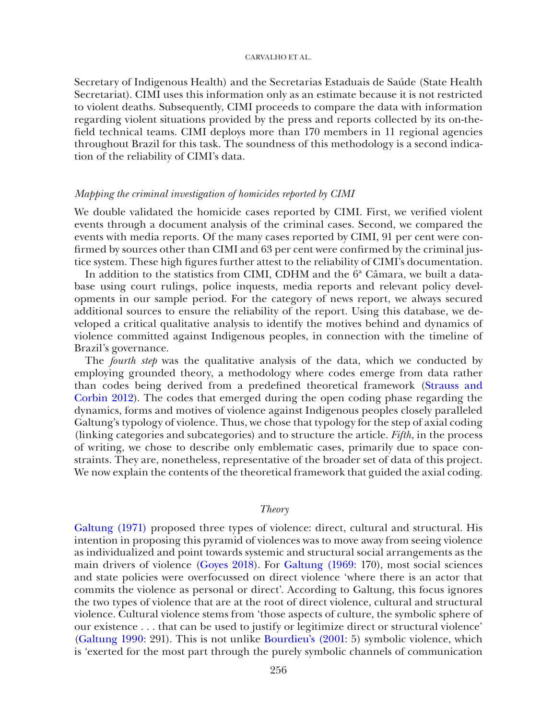Secretary of Indigenous Health) and the Secretarias Estaduais de Saúde (State Health Secretariat). CIMI uses this information only as an estimate because it is not restricted to violent deaths. Subsequently, CIMI proceeds to compare the data with information regarding violent situations provided by the press and reports collected by its on-thefield technical teams. CIMI deploys more than 170 members in 11 regional agencies throughout Brazil for this task. The soundness of this methodology is a second indication of the reliability of CIMI's data.

# *Mapping the criminal investigation of homicides reported by CIMI*

We double validated the homicide cases reported by CIMI. First, we verified violent events through a document analysis of the criminal cases. Second, we compared the events with media reports. Of the many cases reported by CIMI, 91 per cent were confirmed by sources other than CIMI and 63 per cent were confirmed by the criminal justice system. These high figures further attest to the reliability of CIMI's documentation.

In addition to the statistics from CIMI, CDHM and the  $6<sup>a</sup>$  Câmara, we built a database using court rulings, police inquests, media reports and relevant policy developments in our sample period. For the category of news report, we always secured additional sources to ensure the reliability of the report. Using this database, we developed a critical qualitative analysis to identify the motives behind and dynamics of violence committed against Indigenous peoples, in connection with the timeline of Brazil's governance.

The *fourth step* was the qualitative analysis of the data, which we conducted by employing grounded theory, a methodology where codes emerge from data rather than codes being derived from a predefined theoretical framework [\(Strauss and](#page-20-4)  [Corbin 2012\)](#page-20-4). The codes that emerged during the open coding phase regarding the dynamics, forms and motives of violence against Indigenous peoples closely paralleled Galtung's typology of violence. Thus, we chose that typology for the step of axial coding (linking categories and subcategories) and to structure the article. *Fifth*, in the process of writing, we chose to describe only emblematic cases, primarily due to space constraints. They are, nonetheless, representative of the broader set of data of this project. We now explain the contents of the theoretical framework that guided the axial coding.

## *Theory*

[Galtung \(1971\)](#page-17-2) proposed three types of violence: direct, cultural and structural. His intention in proposing this pyramid of violences was to move away from seeing violence as individualized and point towards systemic and structural social arrangements as the main drivers of violence [\(Goyes 2018\)](#page-17-8). For [Galtung \(1969:](#page-17-1) 170), most social sciences and state policies were overfocussed on direct violence 'where there is an actor that commits the violence as personal or direct'. According to Galtung, this focus ignores the two types of violence that are at the root of direct violence, cultural and structural violence. Cultural violence stems from 'those aspects of culture, the symbolic sphere of our existence . . . that can be used to justify or legitimize direct or structural violence' [\(Galtung 1990](#page-17-3): 291). This is not unlike [Bourdieu's \(2001](#page-14-4): 5) symbolic violence, which is 'exerted for the most part through the purely symbolic channels of communication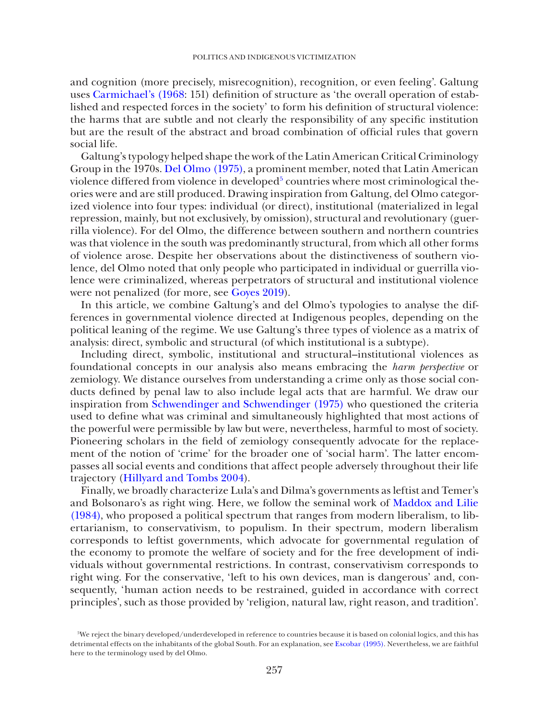and cognition (more precisely, misrecognition), recognition, or even feeling'. Galtung uses [Carmichael's \(1968:](#page-14-5) 151) definition of structure as 'the overall operation of established and respected forces in the society' to form his definition of structural violence: the harms that are subtle and not clearly the responsibility of any specific institution but are the result of the abstract and broad combination of official rules that govern social life.

Galtung's typology helped shape the work of the Latin American Critical Criminology Group in the 1970s. [Del Olmo \(1975\)](#page-19-0), a prominent member, noted that Latin American violence differed from violence in developed $^5$  $^5$  countries where most criminological theories were and are still produced. Drawing inspiration from Galtung, del Olmo categorized violence into four types: individual (or direct), institutional (materialized in legal repression, mainly, but not exclusively, by omission), structural and revolutionary (guerrilla violence). For del Olmo, the difference between southern and northern countries was that violence in the south was predominantly structural, from which all other forms of violence arose. Despite her observations about the distinctiveness of southern violence, del Olmo noted that only people who participated in individual or guerrilla violence were criminalized, whereas perpetrators of structural and institutional violence were not penalized (for more, see [Goyes 2019\)](#page-17-5).

In this article, we combine Galtung's and del Olmo's typologies to analyse the differences in governmental violence directed at Indigenous peoples, depending on the political leaning of the regime. We use Galtung's three types of violence as a matrix of analysis: direct, symbolic and structural (of which institutional is a subtype).

Including direct, symbolic, institutional and structural–institutional violences as foundational concepts in our analysis also means embracing the *harm perspective* or zemiology. We distance ourselves from understanding a crime only as those social conducts defined by penal law to also include legal acts that are harmful. We draw our inspiration from [Schwendinger and Schwendinger \(1975\)](#page-19-8) who questioned the criteria used to define what was criminal and simultaneously highlighted that most actions of the powerful were permissible by law but were, nevertheless, harmful to most of society. Pioneering scholars in the field of zemiology consequently advocate for the replacement of the notion of 'crime' for the broader one of 'social harm'. The latter encompasses all social events and conditions that affect people adversely throughout their life trajectory ([Hillyard and Tombs 2004\)](#page-17-9).

Finally, we broadly characterize Lula's and Dilma's governments as leftist and Temer's and Bolsonaro's as right wing. Here, we follow the seminal work of [Maddox and Lilie](#page-18-5)  [\(1984\)](#page-18-5), who proposed a political spectrum that ranges from modern liberalism, to libertarianism, to conservativism, to populism. In their spectrum, modern liberalism corresponds to leftist governments, which advocate for governmental regulation of the economy to promote the welfare of society and for the free development of individuals without governmental restrictions. In contrast, conservativism corresponds to right wing. For the conservative, 'left to his own devices, man is dangerous' and, consequently, 'human action needs to be restrained, guided in accordance with correct principles', such as those provided by 'religion, natural law, right reason, and tradition'.

<span id="page-6-0"></span><sup>5</sup> We reject the binary developed/underdeveloped in reference to countries because it is based on colonial logics, and this has detrimental effects on the inhabitants of the global South. For an explanation, see [Escobar \(1995\).](#page-16-4) Nevertheless, we are faithful here to the terminology used by del Olmo.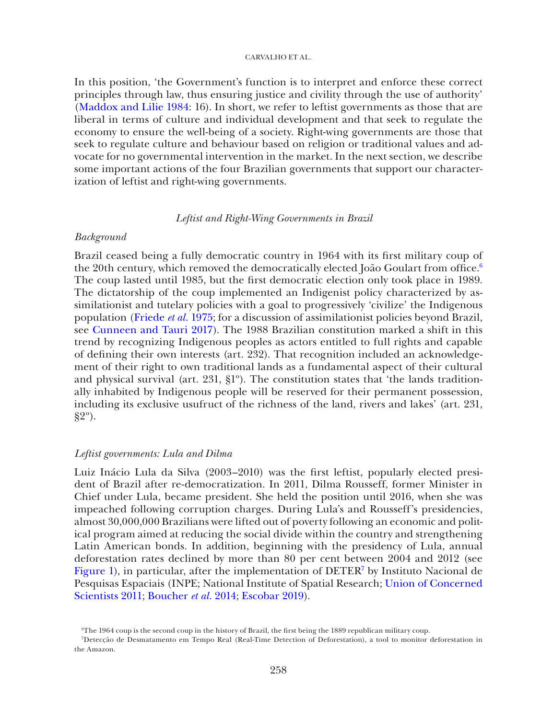In this position, 'the Government's function is to interpret and enforce these correct principles through law, thus ensuring justice and civility through the use of authority' ([Maddox and Lilie 1984:](#page-18-5) 16). In short, we refer to leftist governments as those that are liberal in terms of culture and individual development and that seek to regulate the economy to ensure the well-being of a society. Right-wing governments are those that seek to regulate culture and behaviour based on religion or traditional values and advocate for no governmental intervention in the market. In the next section, we describe some important actions of the four Brazilian governments that support our characterization of leftist and right-wing governments.

# *Leftist and Right-Wing Governments in Brazil*

## *Background*

Brazil ceased being a fully democratic country in 1964 with its first military coup of the 20th century, which removed the democratically elected João Goulart from office.<sup>[6](#page-7-0)</sup> The coup lasted until 1985, but the first democratic election only took place in 1989. The dictatorship of the coup implemented an Indigenist policy characterized by assimilationist and tutelary policies with a goal to progressively 'civilize' the Indigenous population [\(Friede](#page-17-10) *et al.* 1975; for a discussion of assimilationist policies beyond Brazil, see [Cunneen and Tauri 2017](#page-16-5)). The 1988 Brazilian constitution marked a shift in this trend by recognizing Indigenous peoples as actors entitled to full rights and capable of defining their own interests (art. 232). That recognition included an acknowledgement of their right to own traditional lands as a fundamental aspect of their cultural and physical survival (art. 231, §1º). The constitution states that 'the lands traditionally inhabited by Indigenous people will be reserved for their permanent possession, including its exclusive usufruct of the richness of the land, rivers and lakes' (art. 231, §2º).

### *Leftist governments: Lula and Dilma*

Luiz Inácio Lula da Silva (2003–2010) was the first leftist, popularly elected president of Brazil after re-democratization. In 2011, Dilma Rousseff, former Minister in Chief under Lula, became president. She held the position until 2016, when she was impeached following corruption charges. During Lula's and Rousseff's presidencies, almost 30,000,000 Brazilians were lifted out of poverty following an economic and political program aimed at reducing the social divide within the country and strengthening Latin American bonds. In addition, beginning with the presidency of Lula, annual deforestation rates declined by more than 80 per cent between 2004 and 2012 (see [Figure 1\)](#page-9-0), in particular, after the implementation of DETER<sup>7</sup> by Instituto Nacional de Pesquisas Espaciais (INPE; National Institute of Spatial Research; [Union of Concerned](#page-20-5)  [Scientists 2011;](#page-20-5) [Boucher](#page-14-6) *et al.* 2014; [Escobar 2019](#page-16-6)).

<span id="page-7-1"></span><span id="page-7-0"></span><sup>6</sup> The 1964 coup is the second coup in the history of Brazil, the first being the 1889 republican military coup.

<sup>7</sup> Detecção de Desmatamento em Tempo Real (Real-Time Detection of Deforestation), a tool to monitor deforestation in the Amazon.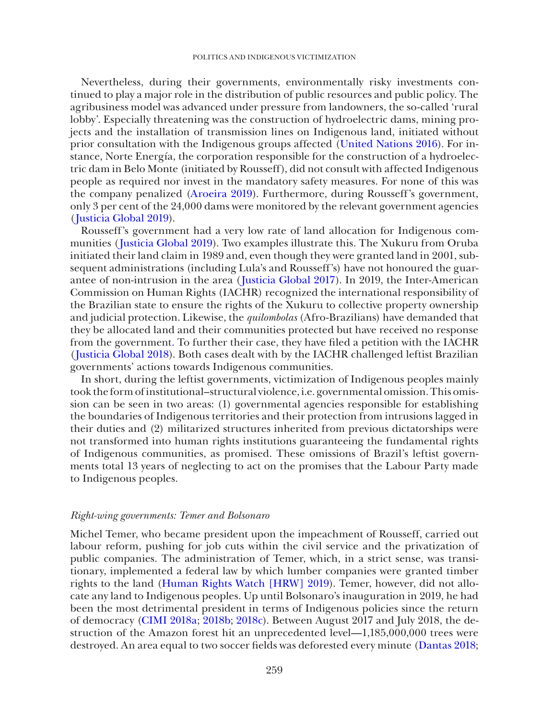Nevertheless, during their governments, environmentally risky investments continued to play a major role in the distribution of public resources and public policy. The agribusiness model was advanced under pressure from landowners, the so-called 'rural lobby'. Especially threatening was the construction of hydroelectric dams, mining projects and the installation of transmission lines on Indigenous land, initiated without prior consultation with the Indigenous groups affected ([United Nations 2016\)](#page-20-6). For instance, Norte Energía, the corporation responsible for the construction of a hydroelectric dam in Belo Monte (initiated by Rousseff), did not consult with affected Indigenous people as required nor invest in the mandatory safety measures. For none of this was the company penalized ([Aroeira 2019](#page-14-7)). Furthermore, during Rousseff's government, only 3 per cent of the 24,000 dams were monitored by the relevant government agencies ([Justicia Global 2019](#page-18-6)).

Rousseff's government had a very low rate of land allocation for Indigenous communities ([Justicia Global 2019\)](#page-18-6). Two examples illustrate this. The Xukuru from Oruba initiated their land claim in 1989 and, even though they were granted land in 2001, subsequent administrations (including Lula's and Rousseff's) have not honoured the guarantee of non-intrusion in the area ([Justicia Global 2017\)](#page-18-7). In 2019, the Inter-American Commission on Human Rights (IACHR) recognized the international responsibility of the Brazilian state to ensure the rights of the Xukuru to collective property ownership and judicial protection. Likewise, the *quilombolas* (Afro-Brazilians) have demanded that they be allocated land and their communities protected but have received no response from the government. To further their case, they have filed a petition with the IACHR ([Justicia Global 2018](#page-18-8)). Both cases dealt with by the IACHR challenged leftist Brazilian governments' actions towards Indigenous communities.

In short, during the leftist governments, victimization of Indigenous peoples mainly took the form of institutional–structural violence, i.e. governmental omission. This omission can be seen in two areas: (1) governmental agencies responsible for establishing the boundaries of Indigenous territories and their protection from intrusions lagged in their duties and (2) militarized structures inherited from previous dictatorships were not transformed into human rights institutions guaranteeing the fundamental rights of Indigenous communities, as promised. These omissions of Brazil's leftist governments total 13 years of neglecting to act on the promises that the Labour Party made to Indigenous peoples.

### *Right-wing governments: Temer and Bolsonaro*

Michel Temer, who became president upon the impeachment of Rousseff, carried out labour reform, pushing for job cuts within the civil service and the privatization of public companies. The administration of Temer, which, in a strict sense, was transitionary, implemented a federal law by which lumber companies were granted timber rights to the land [\(Human Rights Watch \[HRW\] 2019\)](#page-17-11). Temer, however, did not allocate any land to Indigenous peoples. Up until Bolsonaro's inauguration in 2019, he had been the most detrimental president in terms of Indigenous policies since the return of democracy [\(CIMI 2018a;](#page-15-8) [2018b](#page-15-9); [2018c](#page-16-7)). Between August 2017 and July 2018, the destruction of the Amazon forest hit an unprecedented level—1,185,000,000 trees were destroyed. An area equal to two soccer fields was deforested every minute ([Dantas 2018](#page-16-8);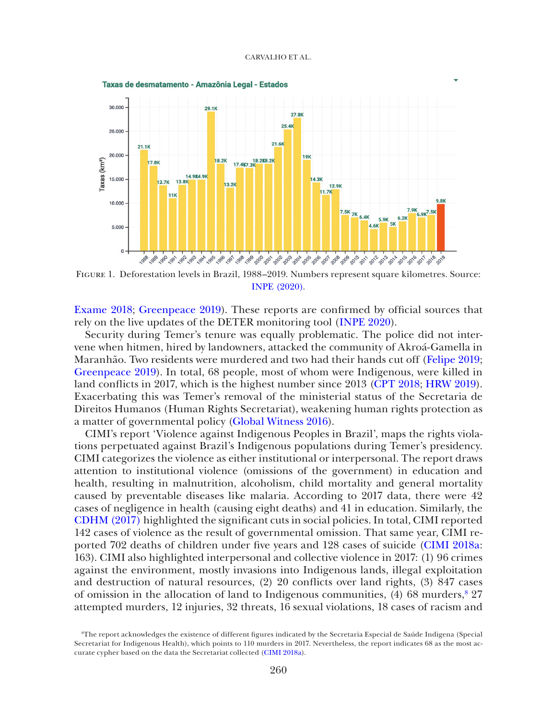

<span id="page-9-0"></span>Figure 1. Deforestation levels in Brazil, 1988–2019. Numbers represent square kilometres. Source: [INPE \(2020\).](#page-18-9)

[Exame 2018](#page-16-9); [Greenpeace 2019\)](#page-17-12). These reports are confirmed by official sources that rely on the live updates of the DETER monitoring tool [\(INPE 2020](#page-18-9)).

Security during Temer's tenure was equally problematic. The police did not intervene when hitmen, hired by landowners, attacked the community of Akroá-Gamella in Maranhão. Two residents were murdered and two had their hands cut off ([Felipe 2019](#page-16-10); [Greenpeace 2019\)](#page-17-12). In total, 68 people, most of whom were Indigenous, were killed in land conflicts in 2017, which is the highest number since 2013 [\(CPT 2018;](#page-15-10) [HRW 2019](#page-17-11)). Exacerbating this was Temer's removal of the ministerial status of the Secretaria de Direitos Humanos (Human Rights Secretariat), weakening human rights protection as a matter of governmental policy [\(Global Witness 2016](#page-17-0)).

CIMI's report 'Violence against Indigenous Peoples in Brazil', maps the rights violations perpetuated against Brazil's Indigenous populations during Temer's presidency. CIMI categorizes the violence as either institutional or interpersonal. The report draws attention to institutional violence (omissions of the government) in education and health, resulting in malnutrition, alcoholism, child mortality and general mortality caused by preventable diseases like malaria. According to 2017 data, there were 42 cases of negligence in health (causing eight deaths) and 41 in education. Similarly, the [CDHM \(2017\)](#page-15-4) highlighted the significant cuts in social policies. In total, CIMI reported 142 cases of violence as the result of governmental omission. That same year, CIMI reported 702 deaths of children under five years and 128 cases of suicide [\(CIMI 2018a](#page-15-8): 163). CIMI also highlighted interpersonal and collective violence in 2017: (1) 96 crimes against the environment, mostly invasions into Indigenous lands, illegal exploitation and destruction of natural resources, (2) 20 conflicts over land rights, (3) 847 cases of omission in the allocation of land to Indigenous communities,  $(4)$  68 murders,  $8\,27$ attempted murders, 12 injuries, 32 threats, 16 sexual violations, 18 cases of racism and

<span id="page-9-1"></span><sup>8</sup> The report acknowledges the existence of different figures indicated by the Secretaria Especial de Saúde Indigena (Special Secretariat for Indigenous Health), which points to 110 murders in 2017. Nevertheless, the report indicates 68 as the most accurate cypher based on the data the Secretariat collected [\(CIMI 2018a](#page-15-8)).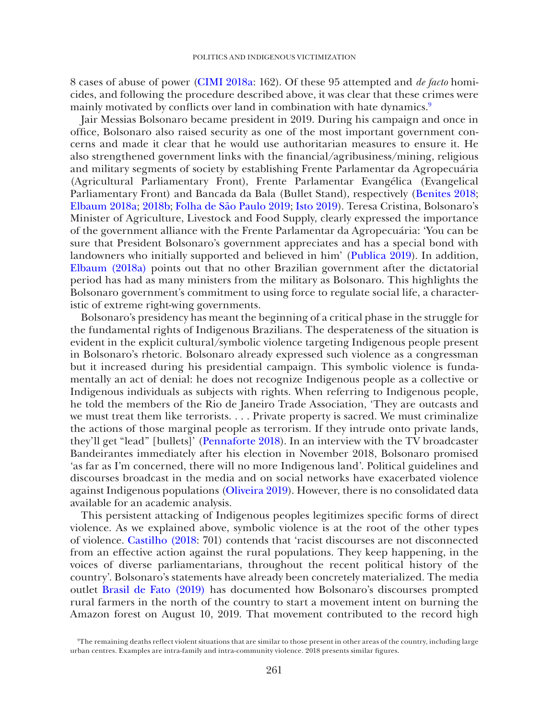8 cases of abuse of power [\(CIMI 2018a](#page-15-8): 162). Of these 95 attempted and *de facto* homicides, and following the procedure described above, it was clear that these crimes were mainly motivated by conflicts over land in combination with hate dynamics[.9](#page-10-0)

Jair Messias Bolsonaro became president in 2019. During his campaign and once in office, Bolsonaro also raised security as one of the most important government concerns and made it clear that he would use authoritarian measures to ensure it. He also strengthened government links with the financial/agribusiness/mining, religious and military segments of society by establishing Frente Parlamentar da Agropecuária (Agricultural Parliamentary Front), Frente Parlamentar Evangélica (Evangelical Parliamentary Front) and Bancada da Bala (Bullet Stand), respectively [\(Benites 2018](#page-14-8); [Elbaum 2018a;](#page-16-11) [2018b;](#page-16-12) [Folha de São Paulo 2019](#page-17-13); [Isto 2019\)](#page-18-10). Teresa Cristina, Bolsonaro's Minister of Agriculture, Livestock and Food Supply, clearly expressed the importance of the government alliance with the Frente Parlamentar da Agropecuária: 'You can be sure that President Bolsonaro's government appreciates and has a special bond with landowners who initially supported and believed in him' [\(Publica 2019](#page-19-9)). In addition, [Elbaum \(2018a\)](#page-16-11) points out that no other Brazilian government after the dictatorial period has had as many ministers from the military as Bolsonaro. This highlights the Bolsonaro government's commitment to using force to regulate social life, a characteristic of extreme right-wing governments.

Bolsonaro's presidency has meant the beginning of a critical phase in the struggle for the fundamental rights of Indigenous Brazilians. The desperateness of the situation is evident in the explicit cultural/symbolic violence targeting Indigenous people present in Bolsonaro's rhetoric. Bolsonaro already expressed such violence as a congressman but it increased during his presidential campaign. This symbolic violence is fundamentally an act of denial: he does not recognize Indigenous people as a collective or Indigenous individuals as subjects with rights. When referring to Indigenous people, he told the members of the Rio de Janeiro Trade Association, 'They are outcasts and we must treat them like terrorists. . . . Private property is sacred. We must criminalize the actions of those marginal people as terrorism. If they intrude onto private lands, they'll get "lead" [bullets]' ([Pennaforte 2018](#page-19-10)). In an interview with the TV broadcaster Bandeirantes immediately after his election in November 2018, Bolsonaro promised 'as far as I'm concerned, there will no more Indigenous land'. Political guidelines and discourses broadcast in the media and on social networks have exacerbated violence against Indigenous populations [\(Oliveira 2019\)](#page-19-11). However, there is no consolidated data available for an academic analysis.

This persistent attacking of Indigenous peoples legitimizes specific forms of direct violence. As we explained above, symbolic violence is at the root of the other types of violence. [Castilho \(2018](#page-15-11): 701) contends that 'racist discourses are not disconnected from an effective action against the rural populations. They keep happening, in the voices of diverse parliamentarians, throughout the recent political history of the country'. Bolsonaro's statements have already been concretely materialized. The media outlet [Brasil de Fato \(2019\)](#page-14-9) has documented how Bolsonaro's discourses prompted rural farmers in the north of the country to start a movement intent on burning the Amazon forest on August 10, 2019. That movement contributed to the record high

<span id="page-10-0"></span><sup>9</sup> The remaining deaths reflect violent situations that are similar to those present in other areas of the country, including large urban centres. Examples are intra-family and intra-community violence. 2018 presents similar figures.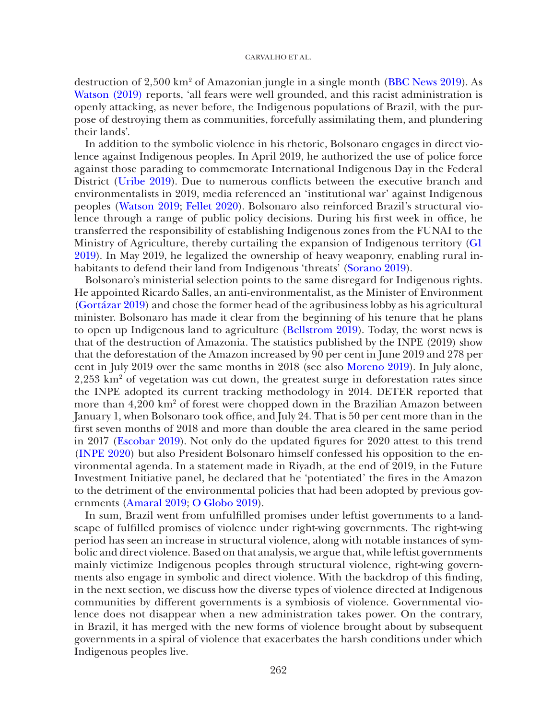destruction of  $2{,}500 \text{ km}^2$  of Amazonian jungle in a single month [\(BBC News 2019](#page-14-10)). As [Watson \(2019\)](#page-20-7) reports, 'all fears were well grounded, and this racist administration is openly attacking, as never before, the Indigenous populations of Brazil, with the purpose of destroying them as communities, forcefully assimilating them, and plundering their lands'.

In addition to the symbolic violence in his rhetoric, Bolsonaro engages in direct violence against Indigenous peoples. In April 2019, he authorized the use of police force against those parading to commemorate International Indigenous Day in the Federal District [\(Uribe 2019](#page-20-8)). Due to numerous conflicts between the executive branch and environmentalists in 2019, media referenced an 'institutional war' against Indigenous peoples ([Watson 2019](#page-20-7); [Fellet 2020](#page-17-14)). Bolsonaro also reinforced Brazil's structural violence through a range of public policy decisions. During his first week in office, he transferred the responsibility of establishing Indigenous zones from the FUNAI to the Ministry of Agriculture, thereby curtailing the expansion of Indigenous territory [\(G1](#page-17-15)  [2019\)](#page-17-15). In May 2019, he legalized the ownership of heavy weaponry, enabling rural inhabitants to defend their land from Indigenous 'threats' [\(Sorano 2019](#page-19-12)).

Bolsonaro's ministerial selection points to the same disregard for Indigenous rights. He appointed Ricardo Salles, an anti-environmentalist, as the Minister of Environment [\(Gortázar 2019](#page-17-16)) and chose the former head of the agribusiness lobby as his agricultural minister. Bolsonaro has made it clear from the beginning of his tenure that he plans to open up Indigenous land to agriculture ([Bellstrom 2019](#page-14-11)). Today, the worst news is that of the destruction of Amazonia. The statistics published by the INPE (2019) show that the deforestation of the Amazon increased by 90 per cent in June 2019 and 278 per cent in July 2019 over the same months in 2018 (see also [Moreno 2019](#page-18-11)). In July alone, 2,253 km<sup>2</sup> of vegetation was cut down, the greatest surge in deforestation rates since the INPE adopted its current tracking methodology in 2014. DETER reported that more than 4,200 km<sup>2</sup> of forest were chopped down in the Brazilian Amazon between January 1, when Bolsonaro took office, and July 24. That is 50 per cent more than in the first seven months of 2018 and more than double the area cleared in the same period in 2017 ([Escobar 2019](#page-16-6)). Not only do the updated figures for 2020 attest to this trend ([INPE 2020](#page-18-9)) but also President Bolsonaro himself confessed his opposition to the environmental agenda. In a statement made in Riyadh, at the end of 2019, in the Future Investment Initiative panel, he declared that he 'potentiated' the fires in the Amazon to the detriment of the environmental policies that had been adopted by previous governments [\(Amaral 2019;](#page-14-12) [O Globo 2019](#page-19-13)).

In sum, Brazil went from unfulfilled promises under leftist governments to a landscape of fulfilled promises of violence under right-wing governments. The right-wing period has seen an increase in structural violence, along with notable instances of symbolic and direct violence. Based on that analysis, we argue that, while leftist governments mainly victimize Indigenous peoples through structural violence, right-wing governments also engage in symbolic and direct violence. With the backdrop of this finding, in the next section, we discuss how the diverse types of violence directed at Indigenous communities by different governments is a symbiosis of violence. Governmental violence does not disappear when a new administration takes power. On the contrary, in Brazil, it has merged with the new forms of violence brought about by subsequent governments in a spiral of violence that exacerbates the harsh conditions under which Indigenous peoples live.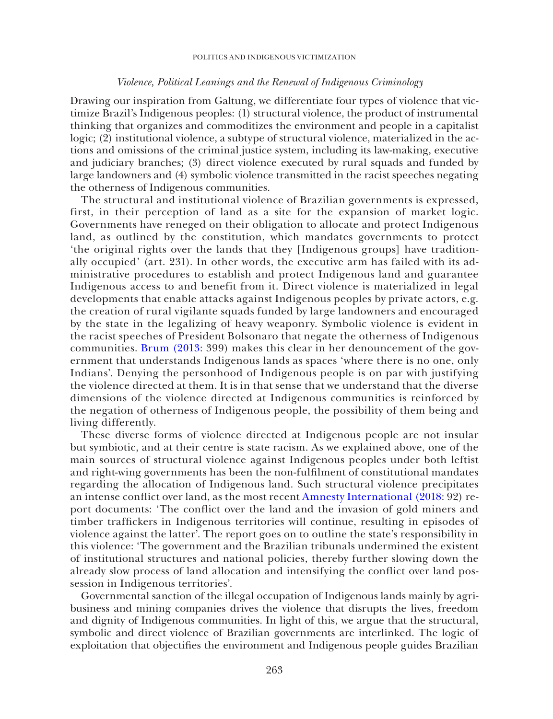## *Violence, Political Leanings and the Renewal of Indigenous Criminology*

Drawing our inspiration from Galtung, we differentiate four types of violence that victimize Brazil's Indigenous peoples: (1) structural violence, the product of instrumental thinking that organizes and commoditizes the environment and people in a capitalist logic; (2) institutional violence, a subtype of structural violence, materialized in the actions and omissions of the criminal justice system, including its law-making, executive and judiciary branches; (3) direct violence executed by rural squads and funded by large landowners and (4) symbolic violence transmitted in the racist speeches negating the otherness of Indigenous communities.

The structural and institutional violence of Brazilian governments is expressed, first, in their perception of land as a site for the expansion of market logic. Governments have reneged on their obligation to allocate and protect Indigenous land, as outlined by the constitution, which mandates governments to protect 'the original rights over the lands that they [Indigenous groups] have traditionally occupied' (art. 231). In other words, the executive arm has failed with its administrative procedures to establish and protect Indigenous land and guarantee Indigenous access to and benefit from it. Direct violence is materialized in legal developments that enable attacks against Indigenous peoples by private actors, e.g. the creation of rural vigilante squads funded by large landowners and encouraged by the state in the legalizing of heavy weaponry. Symbolic violence is evident in the racist speeches of President Bolsonaro that negate the otherness of Indigenous communities. [Brum \(2013:](#page-14-13) 399) makes this clear in her denouncement of the government that understands Indigenous lands as spaces 'where there is no one, only Indians'. Denying the personhood of Indigenous people is on par with justifying the violence directed at them. It is in that sense that we understand that the diverse dimensions of the violence directed at Indigenous communities is reinforced by the negation of otherness of Indigenous people, the possibility of them being and living differently.

These diverse forms of violence directed at Indigenous people are not insular but symbiotic, and at their centre is state racism. As we explained above, one of the main sources of structural violence against Indigenous peoples under both leftist and right-wing governments has been the non-fulfilment of constitutional mandates regarding the allocation of Indigenous land. Such structural violence precipitates an intense conflict over land, as the most recent [Amnesty International \(2018:](#page-14-14) 92) report documents: 'The conflict over the land and the invasion of gold miners and timber traffickers in Indigenous territories will continue, resulting in episodes of violence against the latter'. The report goes on to outline the state's responsibility in this violence: 'The government and the Brazilian tribunals undermined the existent of institutional structures and national policies, thereby further slowing down the already slow process of land allocation and intensifying the conflict over land possession in Indigenous territories'.

Governmental sanction of the illegal occupation of Indigenous lands mainly by agribusiness and mining companies drives the violence that disrupts the lives, freedom and dignity of Indigenous communities. In light of this, we argue that the structural, symbolic and direct violence of Brazilian governments are interlinked. The logic of exploitation that objectifies the environment and Indigenous people guides Brazilian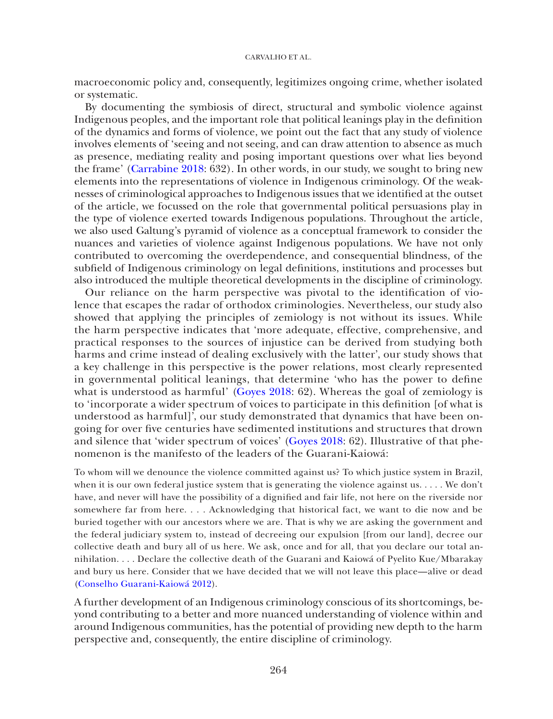macroeconomic policy and, consequently, legitimizes ongoing crime, whether isolated or systematic.

By documenting the symbiosis of direct, structural and symbolic violence against Indigenous peoples, and the important role that political leanings play in the definition of the dynamics and forms of violence, we point out the fact that any study of violence involves elements of 'seeing and not seeing, and can draw attention to absence as much as presence, mediating reality and posing important questions over what lies beyond the frame' [\(Carrabine 2018:](#page-14-15) 632). In other words, in our study, we sought to bring new elements into the representations of violence in Indigenous criminology. Of the weaknesses of criminological approaches to Indigenous issues that we identified at the outset of the article, we focussed on the role that governmental political persuasions play in the type of violence exerted towards Indigenous populations. Throughout the article, we also used Galtung's pyramid of violence as a conceptual framework to consider the nuances and varieties of violence against Indigenous populations. We have not only contributed to overcoming the overdependence, and consequential blindness, of the subfield of Indigenous criminology on legal definitions, institutions and processes but also introduced the multiple theoretical developments in the discipline of criminology.

Our reliance on the harm perspective was pivotal to the identification of violence that escapes the radar of orthodox criminologies. Nevertheless, our study also showed that applying the principles of zemiology is not without its issues. While the harm perspective indicates that 'more adequate, effective, comprehensive, and practical responses to the sources of injustice can be derived from studying both harms and crime instead of dealing exclusively with the latter', our study shows that a key challenge in this perspective is the power relations, most clearly represented in governmental political leanings, that determine 'who has the power to define what is understood as harmful' [\(Goyes 2018](#page-17-8): 62). Whereas the goal of zemiology is to 'incorporate a wider spectrum of voices to participate in this definition [of what is understood as harmful]', our study demonstrated that dynamics that have been ongoing for over five centuries have sedimented institutions and structures that drown and silence that 'wider spectrum of voices' [\(Goyes 2018](#page-17-8): 62). Illustrative of that phenomenon is the manifesto of the leaders of the Guarani-Kaiowá:

To whom will we denounce the violence committed against us? To which justice system in Brazil, when it is our own federal justice system that is generating the violence against us. . . . . We don't have, and never will have the possibility of a dignified and fair life, not here on the riverside nor somewhere far from here. . . . Acknowledging that historical fact, we want to die now and be buried together with our ancestors where we are. That is why we are asking the government and the federal judiciary system to, instead of decreeing our expulsion [from our land], decree our collective death and bury all of us here. We ask, once and for all, that you declare our total annihilation. . . . Declare the collective death of the Guarani and Kaiowá of Pyelito Kue/Mbarakay and bury us here. Consider that we have decided that we will not leave this place—alive or dead ([Conselho Guarani-Kaiowá 2012\)](#page-15-12).

A further development of an Indigenous criminology conscious of its shortcomings, beyond contributing to a better and more nuanced understanding of violence within and around Indigenous communities, has the potential of providing new depth to the harm perspective and, consequently, the entire discipline of criminology.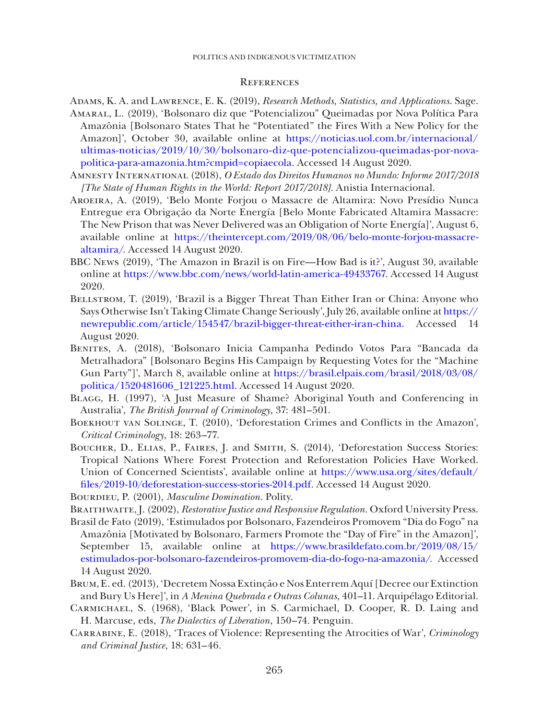#### Politics and Indigenous victimization

## **REFERENCES**

- <span id="page-14-12"></span><span id="page-14-3"></span>Adams, K. A. and Lawrence, E. K. (2019), *Research Methods, Statistics, and Applications*. Sage. Amaral, L. (2019), 'Bolsonaro diz que "Potencializou" Queimadas por Nova Política Para Amazônia [Bolsonaro States That he "Potentiated" the Fires With a New Policy for the Amazon]', October 30, available online at [https://noticias.uol.com.br/internacional/](https://noticias.uol.com.br/internacional/ultimas-noticias/2019/10/30/bolsonaro-diz-que-potencializou-queimadas-por-nova-politica-para-amazonia.htm?cmpid=copiaecola) [ultimas-noticias/2019/10/30/bolsonaro-diz-que-potencializou-queimadas-por-nova](https://noticias.uol.com.br/internacional/ultimas-noticias/2019/10/30/bolsonaro-diz-que-potencializou-queimadas-por-nova-politica-para-amazonia.htm?cmpid=copiaecola)[politica-para-amazonia.htm?cmpid=copiaecola.](https://noticias.uol.com.br/internacional/ultimas-noticias/2019/10/30/bolsonaro-diz-que-potencializou-queimadas-por-nova-politica-para-amazonia.htm?cmpid=copiaecola) Accessed 14 August 2020.
- <span id="page-14-14"></span>Amnesty International (2018), *O Estado dos Direitos Humanos no Mundo: Informe 2017/2018 [The State of Human Rights in the World: Report 2017/2018]*. Anistia Internacional.
- <span id="page-14-7"></span>Aroeira, A. (2019), 'Belo Monte Forjou o Massacre de Altamira: Novo Presídio Nunca Entregue era Obrigação da Norte Energía [Belo Monte Fabricated Altamira Massacre: The New Prison that was Never Delivered was an Obligation of Norte Energía]', August 6, available online at [https://theintercept.com/2019/08/06/belo-monte-forjou-massacre](https://theintercept.com/2019/08/06/belo-monte-forjou-massacre-altamira/)[altamira/](https://theintercept.com/2019/08/06/belo-monte-forjou-massacre-altamira/). Accessed 14 August 2020.
- <span id="page-14-10"></span>BBC News (2019), 'The Amazon in Brazil is on Fire—How Bad is it?', August 30, available online at [https://www.bbc.com/news/world-latin-america-49433767.](https://www.bbc.com/news/world-latin-america-49433767) Accessed 14 August 2020.
- <span id="page-14-11"></span>BELLSTROM, T. (2019), 'Brazil is a Bigger Threat Than Either Iran or China: Anyone who Says Otherwise Isn't Taking Climate Change Seriously', July 26, available online at [https://](https://newrepublic.com/article/154547/brazil-bigger-threat-either-iran-china) [newrepublic.com/article/154547/brazil-bigger-threat-either-iran-china](https://newrepublic.com/article/154547/brazil-bigger-threat-either-iran-china). Accessed 14 August 2020.
- <span id="page-14-8"></span>Benites, A. (2018), 'Bolsonaro Inicia Campanha Pedindo Votos Para "Bancada da Metralhadora" [Bolsonaro Begins His Campaign by Requesting Votes for the "Machine Gun Party"]', March 8, available online at [https://brasil.elpais.com/brasil/2018/03/08/](https://brasil.elpais.com/brasil/2018/03/08/politica/1520481606_121225.html) [politica/1520481606\\_121225.html](https://brasil.elpais.com/brasil/2018/03/08/politica/1520481606_121225.html). Accessed 14 August 2020.
- <span id="page-14-0"></span>Blagg, H. (1997), 'A Just Measure of Shame? Aboriginal Youth and Conferencing in Australia', *The British Journal of Criminology*, 37: 481–501.
- <span id="page-14-2"></span>Boekhout van Solinge, T. (2010), 'Deforestation Crimes and Conflicts in the Amazon', *Critical Criminology*, 18: 263–77.
- <span id="page-14-6"></span>BOUCHER, D., ELIAS, P., FAIRES, J. and SMITH, S. (2014), 'Deforestation Success Stories: Tropical Nations Where Forest Protection and Reforestation Policies Have Worked. Union of Concerned Scientists', available online at [https://www.usa.org/sites/default/](https://www.usa.org/sites/default/files/2019-10/deforestation-success-stories-2014.pdf) [files/2019-10/deforestation-success-stories-2014.pdf](https://www.usa.org/sites/default/files/2019-10/deforestation-success-stories-2014.pdf). Accessed 14 August 2020.
- <span id="page-14-4"></span>BOURDIEU, P. (2001), *Masculine Domination*. Polity.
- <span id="page-14-1"></span>Braithwaite, J. (2002), *Restorative Justice and Responsive Regulation*. Oxford University Press.
- <span id="page-14-9"></span>Brasil de Fato (2019), 'Estimulados por Bolsonaro, Fazendeiros Promovem "Dia do Fogo" na Amazônia [Motivated by Bolsonaro, Farmers Promote the "Day of Fire" in the Amazon]', September 15, available online at [https://www.brasildefato.com.br/2019/08/15/](https://www.brasildefato.com.br/2019/08/15/estimulados-por-bolsonaro-fazendeiros-promovem-dia-do-fogo-na-amazonia/) [estimulados-por-bolsonaro-fazendeiros-promovem-dia-do-fogo-na-amazonia/](https://www.brasildefato.com.br/2019/08/15/estimulados-por-bolsonaro-fazendeiros-promovem-dia-do-fogo-na-amazonia/). Accessed 14 August 2020.
- <span id="page-14-13"></span>Brum, E. ed. (2013), 'Decretem Nossa Extinção e Nos Enterrem Aquí [Decree our Extinction and Bury Us Here]', in *A Menina Quebrada e Outras Colunas*, 401–11. Arquipélago Editorial.
- <span id="page-14-5"></span>Carmichael, S. (1968), 'Black Power', in S. Carmichael, D. Cooper, R. D. Laing and H. Marcuse, eds, *The Dialectics of Liberation*, 150–74. Penguin.
- <span id="page-14-15"></span>Carrabine, E. (2018), 'Traces of Violence: Representing the Atrocities of War', *Criminology and Criminal Justice*, 18: 631–46.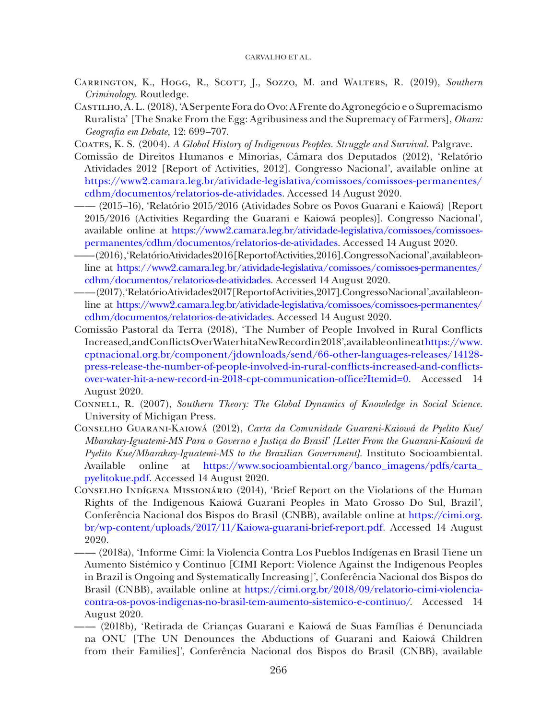- <span id="page-15-6"></span>Carrington, K., Hogg, R., Scott, J., Sozzo, M. and Walters, R. (2019), *Southern Criminology*. Routledge.
- <span id="page-15-11"></span>Castilho, A. L. (2018), 'A Serpente Fora do Ovo: A Frente do Agronegócio e o Supremacismo Ruralista' [The Snake From the Egg: Agribusiness and the Supremacy of Farmers], *Okara: Geografia em Debate,* 12: 699–707.
- <span id="page-15-3"></span>Coates, K. S. (2004). *A Global History of Indigenous Peoples. Struggle and Survival*. Palgrave.
- <span id="page-15-0"></span>Comissão de Direitos Humanos e Minorias, Câmara dos Deputados (2012), 'Relatório Atividades 2012 [Report of Activities, 2012]. Congresso Nacional', available online at [https://www2.camara.leg.br/atividade-legislativa/comissoes/comissoes-permanentes/](https://www2.camara.leg.br/atividade-legislativa/comissoes/comissoes-permanentes/cdhm/documentos/relatorios-de-atividades) [cdhm/documentos/relatorios-de-atividades](https://www2.camara.leg.br/atividade-legislativa/comissoes/comissoes-permanentes/cdhm/documentos/relatorios-de-atividades). Accessed 14 August 2020.
- <span id="page-15-7"></span>—— (2015–16), 'Relatório 2015/2016 (Atividades Sobre os Povos Guarani e Kaiowá) [Report 2015/2016 (Activities Regarding the Guarani e Kaiowá peoples)]. Congresso Nacional', available online at [https://www2.camara.leg.br/atividade-legislativa/comissoes/comissoes](https://www2.camara.leg.br/atividade-legislativa/comissoes/comissoes-permanentes/cdhm/documentos/relatorios-de-atividades)[permanentes/cdhm/documentos/relatorios-de-atividades](https://www2.camara.leg.br/atividade-legislativa/comissoes/comissoes-permanentes/cdhm/documentos/relatorios-de-atividades). Accessed 14 August 2020.
- <span id="page-15-1"></span>—— (2016), 'Relatório Atividades 2016 [Report of Activities, 2016]. Congresso Nacional', available online at [https://www2.camara.leg.br/atividade-legislativa/comissoes/comissoes-permanentes/](https://www2.camara.leg.br/atividade-legislativa/comissoes/comissoes-permanentes/cdhm/documentos/relatorios-de-atividades) [cdhm/documentos/relatorios-de-atividades](https://www2.camara.leg.br/atividade-legislativa/comissoes/comissoes-permanentes/cdhm/documentos/relatorios-de-atividades). Accessed 14 August 2020.
- <span id="page-15-4"></span>—— (2017), 'Relatório Atividades 2017 [Report of Activities, 2017]. Congresso Nacional', available online at [https://www2.camara.leg.br/atividade-legislativa/comissoes/comissoes-permanentes/](https://www2.camara.leg.br/atividade-legislativa/comissoes/comissoes-permanentes/cdhm/documentos/relatorios-de-atividades) [cdhm/documentos/relatorios-de-atividades](https://www2.camara.leg.br/atividade-legislativa/comissoes/comissoes-permanentes/cdhm/documentos/relatorios-de-atividades). Accessed 14 August 2020.
- <span id="page-15-10"></span>Comissão Pastoral da Terra (2018), 'The Number of People Involved in Rural Conflicts Increased, and Conflicts Over Water hit a New Record in 2018', available online at [https://www.](https://www.cptnacional.org.br/component/jdownloads/send/66-other-languages-releases/14128-press-release-the-number-of-people-involved-in-rural-conflicts-increased-and-conflicts-over-water-hit-a-new-record-in-2018-cpt-communication-office?Itemid=0) [cptnacional.org.br/component/jdownloads/send/66-other-languages-releases/14128](https://www.cptnacional.org.br/component/jdownloads/send/66-other-languages-releases/14128-press-release-the-number-of-people-involved-in-rural-conflicts-increased-and-conflicts-over-water-hit-a-new-record-in-2018-cpt-communication-office?Itemid=0) [press-release-the-number-of-people-involved-in-rural-conflicts-increased-and-conflicts](https://www.cptnacional.org.br/component/jdownloads/send/66-other-languages-releases/14128-press-release-the-number-of-people-involved-in-rural-conflicts-increased-and-conflicts-over-water-hit-a-new-record-in-2018-cpt-communication-office?Itemid=0)[over-water-hit-a-new-record-in-2018-cpt-communication-office?Itemid=0.](https://www.cptnacional.org.br/component/jdownloads/send/66-other-languages-releases/14128-press-release-the-number-of-people-involved-in-rural-conflicts-increased-and-conflicts-over-water-hit-a-new-record-in-2018-cpt-communication-office?Itemid=0) Accessed 14 August 2020.
- <span id="page-15-5"></span>Connell, R. (2007), *Southern Theory: The Global Dynamics of Knowledge in Social Science*. University of Michigan Press.
- <span id="page-15-12"></span>Conselho Guarani-Kaiowá (2012), *Carta da Comunidade Guarani-Kaiowá de Pyelito Kue/ Mbarakay-Iguatemi-MS Para o Governo e Justiça do Brasil' [Letter From the Guarani-Kaiowá de Pyelito Kue/Mbarakay-Iguatemi-MS to the Brazilian Government]*. Instituto Socioambiental. Available online at [https://www.socioambiental.org/banco\\_imagens/pdfs/carta\\_](https://www.socioambiental.org/banco_imagens/pdfs/carta_pyelitokue.pdf) [pyelitokue.pdf.](https://www.socioambiental.org/banco_imagens/pdfs/carta_pyelitokue.pdf) Accessed 14 August 2020.
- <span id="page-15-2"></span>Conselho Indígena Missionário (2014), 'Brief Report on the Violations of the Human Rights of the Indigenous Kaiowá Guarani Peoples in Mato Grosso Do Sul, Brazil', Conferência Nacional dos Bispos do Brasil (CNBB), available online at [https://cimi.org.](https://cimi.org.br/wp-content/uploads/2017/11/Kaiowa-guarani-brief-report.pdf) [br/wp-content/uploads/2017/11/Kaiowa-guarani-brief-report.pdf](https://cimi.org.br/wp-content/uploads/2017/11/Kaiowa-guarani-brief-report.pdf). Accessed 14 August 2020.
- <span id="page-15-8"></span>—— (2018a), 'Informe Cimi: la Violencia Contra Los Pueblos Indígenas en Brasil Tiene un Aumento Sistémico y Continuo [CIMI Report: Violence Against the Indigenous Peoples in Brazil is Ongoing and Systematically Increasing]', Conferência Nacional dos Bispos do Brasil (CNBB), available online at [https://cimi.org.br/2018/09/relatorio-cimi-violencia](https://cimi.org.br/2018/09/relatorio-cimi-violencia-contra-os-povos-indigenas-no-brasil-tem-aumento-sistemico-e-continuo/)[contra-os-povos-indigenas-no-brasil-tem-aumento-sistemico-e-continuo/](https://cimi.org.br/2018/09/relatorio-cimi-violencia-contra-os-povos-indigenas-no-brasil-tem-aumento-sistemico-e-continuo/). Accessed 14 August 2020.
- <span id="page-15-9"></span>—— (2018b), 'Retirada de Crianças Guarani e Kaiowá de Suas Famílias é Denunciada na ONU [The UN Denounces the Abductions of Guarani and Kaiowá Children from their Families]', Conferência Nacional dos Bispos do Brasil (CNBB), available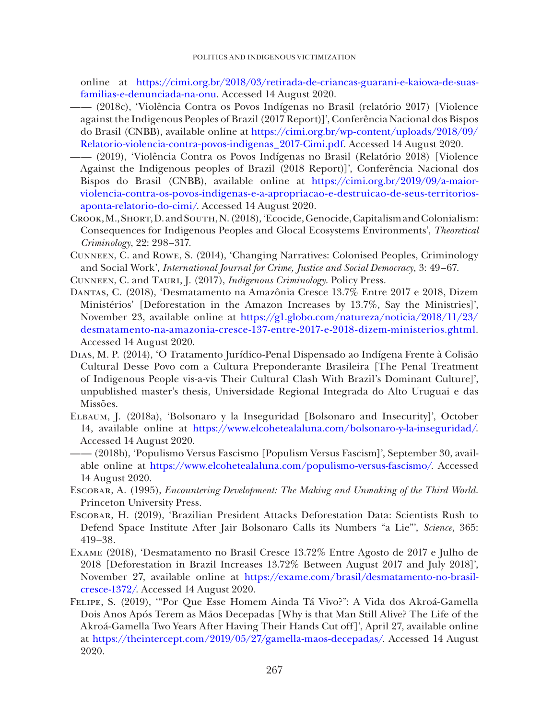online at [https://cimi.org.br/2018/03/retirada-de-criancas-guarani-e-kaiowa-de-suas](https://cimi.org.br/2018/03/retirada-de-criancas-guarani-e-kaiowa-de-suas-familias-e-denunciada-na-onu)[familias-e-denunciada-na-onu.](https://cimi.org.br/2018/03/retirada-de-criancas-guarani-e-kaiowa-de-suas-familias-e-denunciada-na-onu) Accessed 14 August 2020.

- <span id="page-16-7"></span>—— (2018c), 'Violência Contra os Povos Indígenas no Brasil (relatório 2017) [Violence against the Indigenous Peoples of Brazil (2017 Report)]', Conferência Nacional dos Bispos do Brasil (CNBB), available online at [https://cimi.org.br/wp-content/uploads/2018/09/](https://cimi.org.br/wp-content/uploads/2018/09/Relatorio-violencia-contra-povos-indigenas_2017-Cimi.pdf) [Relatorio-violencia-contra-povos-indigenas\\_2017-Cimi.pdf.](https://cimi.org.br/wp-content/uploads/2018/09/Relatorio-violencia-contra-povos-indigenas_2017-Cimi.pdf) Accessed 14 August 2020.
- <span id="page-16-0"></span>—— (2019), 'Violência Contra os Povos Indígenas no Brasil (Relatório 2018) [Violence Against the Indigenous peoples of Brazil (2018 Report)]', Conferência Nacional dos Bispos do Brasil (CNBB), available online at [https://cimi.org.br/2019/09/a-maior](https://cimi.org.br/2019/09/a-maior-violencia-contra-os-povos-indigenas-e-a-apropriacao-e-destruicao-de-seus-territorios-aponta-relatorio-do-cimi/)[violencia-contra-os-povos-indigenas-e-a-apropriacao-e-destruicao-de-seus-territorios](https://cimi.org.br/2019/09/a-maior-violencia-contra-os-povos-indigenas-e-a-apropriacao-e-destruicao-de-seus-territorios-aponta-relatorio-do-cimi/)[aponta-relatorio-do-cimi/](https://cimi.org.br/2019/09/a-maior-violencia-contra-os-povos-indigenas-e-a-apropriacao-e-destruicao-de-seus-territorios-aponta-relatorio-do-cimi/). Accessed 14 August 2020.
- <span id="page-16-3"></span>Crook, M., Short, D. and South, N. (2018), 'Ecocide, Genocide, Capitalism and Colonialism: Consequences for Indigenous Peoples and Glocal Ecosystems Environments', *Theoretical Criminology*, 22: 298–317.
- <span id="page-16-2"></span>Cunneen, C. and Rowe, S. (2014), 'Changing Narratives: Colonised Peoples, Criminology and Social Work', *International Journal for Crime, Justice and Social Democracy*, 3: 49–67.
- <span id="page-16-5"></span>Cunneen, C. and Tauri, J. (2017), *Indigenous Criminology*. Policy Press.
- <span id="page-16-8"></span>Dantas, C. (2018), 'Desmatamento na Amazônia Cresce 13.7% Entre 2017 e 2018, Dizem Ministérios' [Deforestation in the Amazon Increases by 13.7%, Say the Ministries]', November 23, available online at [https://g1.globo.com/natureza/noticia/2018/11/23/](https://g1.globo.com/natureza/noticia/2018/11/23/desmatamento-na-amazonia-cresce-137-entre-2017-e-2018-dizem-ministerios.ghtml) [desmatamento-na-amazonia-cresce-137-entre-2017-e-2018-dizem-ministerios.ghtml](https://g1.globo.com/natureza/noticia/2018/11/23/desmatamento-na-amazonia-cresce-137-entre-2017-e-2018-dizem-ministerios.ghtml). Accessed 14 August 2020.
- <span id="page-16-1"></span>Dias, M. P. (2014), 'O Tratamento Jurídico-Penal Dispensado ao Indígena Frente à Colisão Cultural Desse Povo com a Cultura Preponderante Brasileira [The Penal Treatment of Indigenous People vis-a-vis Their Cultural Clash With Brazil's Dominant Culture]', unpublished master's thesis, Universidade Regional Integrada do Alto Uruguai e das Missões.
- <span id="page-16-11"></span>Elbaum, J. (2018a), 'Bolsonaro y la Inseguridad [Bolsonaro and Insecurity]', October 14, available online at <https://www.elcohetealaluna.com/bolsonaro-y-la-inseguridad/>. Accessed 14 August 2020.
- <span id="page-16-12"></span>—— (2018b), 'Populismo Versus Fascismo [Populism Versus Fascism]', September 30, available online at [https://www.elcohetealaluna.com/populismo-versus-fascismo/.](https://www.elcohetealaluna.com/populismo-versus-fascismo/) Accessed 14 August 2020.
- <span id="page-16-4"></span>Escobar, A. (1995), *Encountering Development: The Making and Unmaking of the Third World*. Princeton University Press.
- <span id="page-16-6"></span>Escobar, H. (2019), 'Brazilian President Attacks Deforestation Data: Scientists Rush to Defend Space Institute After Jair Bolsonaro Calls its Numbers "a Lie"', *Science*, 365: 419–38.
- <span id="page-16-9"></span>Exame (2018), 'Desmatamento no Brasil Cresce 13.72% Entre Agosto de 2017 e Julho de 2018 [Deforestation in Brazil Increases 13.72% Between August 2017 and July 2018]', November 27, available online at [https://exame.com/brasil/desmatamento-no-brasil](https://exame.com/brasil/desmatamento-no-brasil-cresce-1372/)[cresce-1372/.](https://exame.com/brasil/desmatamento-no-brasil-cresce-1372/) Accessed 14 August 2020.
- <span id="page-16-10"></span>Felipe, S. (2019), '"Por Que Esse Homem Ainda Tá Vivo?": A Vida dos Akroá-Gamella Dois Anos Após Terem as Mãos Decepadas [Why is that Man Still Alive? The Life of the Akroá-Gamella Two Years After Having Their Hands Cut off]', April 27, available online at <https://theintercept.com/2019/05/27/gamella-maos-decepadas/>. Accessed 14 August 2020.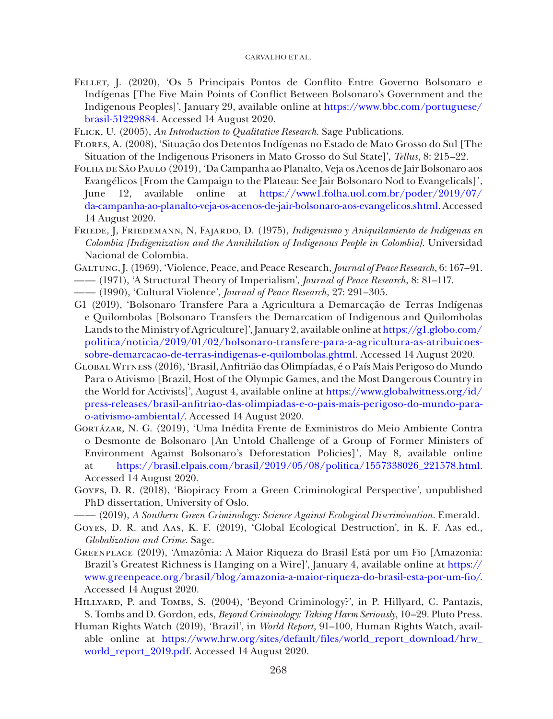- <span id="page-17-14"></span>Fellet, J. (2020), 'Os 5 Principais Pontos de Conflito Entre Governo Bolsonaro e Indígenas [The Five Main Points of Conflict Between Bolsonaro's Government and the Indigenous Peoples]', January 29, available online at [https://www.bbc.com/portuguese/](https://www.bbc.com/portuguese/brasil-51229884) [brasil-51229884](https://www.bbc.com/portuguese/brasil-51229884). Accessed 14 August 2020.
- <span id="page-17-7"></span>Flick, U. (2005), *An Introduction to Qualitative Research*. Sage Publications.
- <span id="page-17-4"></span>Flores, A. (2008), 'Situaçã o dos Detentos Indígenas no Estado de Mato Grosso do Sul [The Situation of the Indigenous Prisoners in Mato Grosso do Sul State]', *Tellus*, 8: 215–22.
- <span id="page-17-13"></span>Folha de São Paulo (2019), 'Da Campanha ao Planalto, Veja os Acenos de Jair Bolsonaro aos Evangélicos [From the Campaign to the Plateau: See Jair Bolsonaro Nod to Evangelicals]', June 12, available online at [https://www1.folha.uol.com.br/poder/2019/07/](https://www1.folha.uol.com.br/poder/2019/07/da-campanha-ao-planalto-veja-os-acenos-de-jair-bolsonaro-aos-evangelicos.shtml) [da-campanha-ao-planalto-veja-os-acenos-de-jair-bolsonaro-aos-evangelicos.shtml.](https://www1.folha.uol.com.br/poder/2019/07/da-campanha-ao-planalto-veja-os-acenos-de-jair-bolsonaro-aos-evangelicos.shtml) Accessed 14 August 2020.
- <span id="page-17-10"></span>Friede, J, Friedemann, N, Fajardo, D. (1975), *Indigenismo y Aniquilamiento de Indígenas en Colombia [Indigenization and the Annihilation of Indigenous People in Colombia]*. Universidad Nacional de Colombia.
- <span id="page-17-1"></span>Galtung, J. (1969), 'Violence, Peace, and Peace Research, *Journal of Peace Research*, 6: 167–91.
- <span id="page-17-2"></span>—— (1971), 'A Structural Theory of Imperialism', *Journal of Peace Research*, 8: 81–117.
- <span id="page-17-3"></span>—— (1990), 'Cultural Violence', *Journal of Peace Research*, 27: 291–305.
- <span id="page-17-15"></span>G1 (2019), 'Bolsonaro Transfere Para a Agricultura a Demarcação de Terras Indígenas e Quilombolas [Bolsonaro Transfers the Demarcation of Indigenous and Quilombolas Lands to the Ministry of Agriculture]', January 2, available online at [https://g1.globo.com/](https://g1.globo.com/politica/noticia/2019/01/02/bolsonaro-transfere-para-a-agricultura-as-atribuicoes-sobre-demarcacao-de-terras-indigenas-e-quilombolas.ghtml) [politica/noticia/2019/01/02/bolsonaro-transfere-para-a-agricultura-as-atribuicoes](https://g1.globo.com/politica/noticia/2019/01/02/bolsonaro-transfere-para-a-agricultura-as-atribuicoes-sobre-demarcacao-de-terras-indigenas-e-quilombolas.ghtml)[sobre-demarcacao-de-terras-indigenas-e-quilombolas.ghtml](https://g1.globo.com/politica/noticia/2019/01/02/bolsonaro-transfere-para-a-agricultura-as-atribuicoes-sobre-demarcacao-de-terras-indigenas-e-quilombolas.ghtml). Accessed 14 August 2020.
- <span id="page-17-0"></span>Global Witness (2016), 'Brasil, Anfitrião das Olimpíadas, é o País Mais Perigoso do Mundo Para o Ativismo [Brazil, Host of the Olympic Games, and the Most Dangerous Country in the World for Activists]', August 4, available online at [https://www.globalwitness.org/id/](https://www.globalwitness.org/id/press-releases/brasil-anfitriao-das-olimpiadas-e-o-pais-mais-perigoso-do-mundo-para-o-ativismo-ambiental/) [press-releases/brasil-anfitriao-das-olimpiadas-e-o-pais-mais-perigoso-do-mundo-para](https://www.globalwitness.org/id/press-releases/brasil-anfitriao-das-olimpiadas-e-o-pais-mais-perigoso-do-mundo-para-o-ativismo-ambiental/)[o-ativismo-ambiental/](https://www.globalwitness.org/id/press-releases/brasil-anfitriao-das-olimpiadas-e-o-pais-mais-perigoso-do-mundo-para-o-ativismo-ambiental/). Accessed 14 August 2020.
- <span id="page-17-16"></span>Gortázar, N. G. (2019), 'Uma Inédita Frente de Exministros do Meio Ambiente Contra o Desmonte de Bolsonaro [An Untold Challenge of a Group of Former Ministers of Environment Against Bolsonaro's Deforestation Policies]', May 8, available online at [https://brasil.elpais.com/brasil/2019/05/08/politica/1557338026\\_221578.html](https://brasil.elpais.com/brasil/2019/05/08/politica/1557338026_221578.html). Accessed 14 August 2020.
- <span id="page-17-8"></span>Goyes, D. R. (2018), 'Biopiracy From a Green Criminological Perspective', unpublished PhD dissertation, University of Oslo.
- <span id="page-17-5"></span>—— (2019), *A Southern Green Criminology: Science Against Ecological Discrimination*. Emerald.
- <span id="page-17-6"></span>Goyes, D. R. and Aas, K. F. (2019), 'Global Ecological Destruction', in K. F. Aas ed., *Globalization and Crime*. Sage.
- <span id="page-17-12"></span>Greenpeace (2019), 'Amazônia: A Maior Riqueza do Brasil Está por um Fio [Amazonia: Brazil's Greatest Richness is Hanging on a Wire]', January 4, available online at [https://](https://www.greenpeace.org/brasil/blog/amazonia-a-maior-riqueza-do-brasil-esta-por-um-fio/) [www.greenpeace.org/brasil/blog/amazonia-a-maior-riqueza-do-brasil-esta-por-um-fio/](https://www.greenpeace.org/brasil/blog/amazonia-a-maior-riqueza-do-brasil-esta-por-um-fio/). Accessed 14 August 2020.
- <span id="page-17-9"></span>HILLYARD, P. and TOMBS, S. (2004), 'Beyond Criminology?', in P. Hillyard, C. Pantazis, S. Tombs and D. Gordon, eds, *Beyond Criminology: Taking Harm Seriously*, 10–29. Pluto Press.
- <span id="page-17-11"></span>Human Rights Watch (2019), 'Brazil', in *World Report*, 91–100, Human Rights Watch, available online at [https://www.hrw.org/sites/default/files/world\\_report\\_download/hrw\\_](https://www.hrw.org/sites/default/files/world_report_download/hrw_world_report_2019.pdf) [world\\_report\\_2019.pdf](https://www.hrw.org/sites/default/files/world_report_download/hrw_world_report_2019.pdf). Accessed 14 August 2020.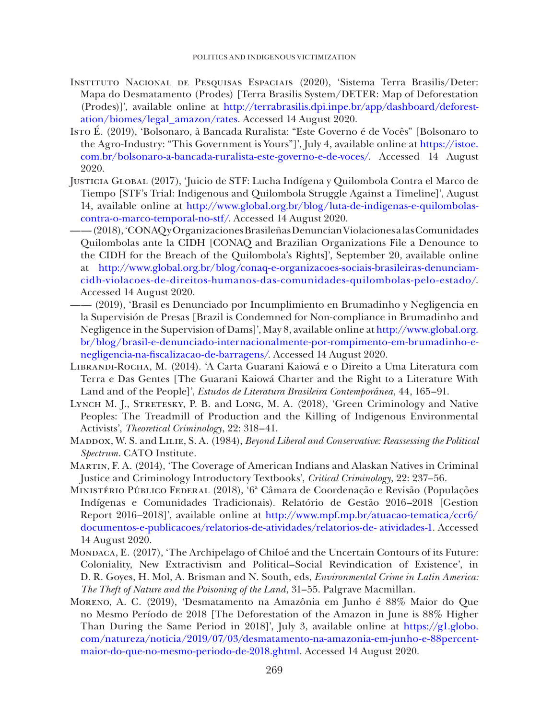- <span id="page-18-9"></span>Instituto Nacional de Pesquisas Espaciais (2020), 'Sistema Terra Brasilis/Deter: Mapa do Desmatamento (Prodes) [Terra Brasilis System/DETER: Map of Deforestation (Prodes)]', available online at [http://terrabrasilis.dpi.inpe.br/app/dashboard/deforest](http://terrabrasilis.dpi.inpe.br/app/dashboard/deforestation/biomes/legal_amazon/rates)[ation/biomes/legal\\_amazon/rates](http://terrabrasilis.dpi.inpe.br/app/dashboard/deforestation/biomes/legal_amazon/rates). Accessed 14 August 2020.
- <span id="page-18-10"></span>Isto É. (2019), 'Bolsonaro, à Bancada Ruralista: "Este Governo é de Vocês" [Bolsonaro to the Agro-Industry: "This Government is Yours"]', July 4, available online at [https://istoe.](https://istoe.com.br/bolsonaro-a-bancada-ruralista-este-governo-e-de-voces/) [com.br/bolsonaro-a-bancada-ruralista-este-governo-e-de-voces/.](https://istoe.com.br/bolsonaro-a-bancada-ruralista-este-governo-e-de-voces/) Accessed 14 August 2020.
- <span id="page-18-7"></span>Justicia Global (2017), 'Juicio de STF: Lucha Indígena y Quilombola Contra el Marco de Tiempo [STF's Trial: Indigenous and Quilombola Struggle Against a Timeline]', August 14, available online at [http://www.global.org.br/blog/luta-de-indigenas-e-quilombolas](http://www.global.org.br/blog/luta-de-indigenas-e-quilombolas-contra-o-marco-temporal-no-stf/)[contra-o-marco-temporal-no-stf/](http://www.global.org.br/blog/luta-de-indigenas-e-quilombolas-contra-o-marco-temporal-no-stf/). Accessed 14 August 2020.
- <span id="page-18-8"></span>—— (2018), 'CONAQ y Organizaciones Brasileñas Denuncian Violaciones a las Comunidades Quilombolas ante la CIDH [CONAQ and Brazilian Organizations File a Denounce to the CIDH for the Breach of the Quilombola's Rights]', September 20, available online at [http://www.global.org.br/blog/conaq-e-organizacoes-sociais-brasileiras-denunciam](http://www.global.org.br/blog/conaq-e-organizacoes-sociais-brasileiras-denunciam-cidh-violacoes-de-direitos-humanos-das-comunidades-quilombolas-pelo-estado/)[cidh-violacoes-de-direitos-humanos-das-comunidades-quilombolas-pelo-estado/](http://www.global.org.br/blog/conaq-e-organizacoes-sociais-brasileiras-denunciam-cidh-violacoes-de-direitos-humanos-das-comunidades-quilombolas-pelo-estado/). Accessed 14 August 2020.
- <span id="page-18-6"></span>—— (2019), 'Brasil es Denunciado por Incumplimiento en Brumadinho y Negligencia en la Supervisión de Presas [Brazil is Condemned for Non-compliance in Brumadinho and Negligence in the Supervision of Dams]', May 8, available online at [http://www.global.org.](http://www.global.org.br/blog/brasil-e-denunciado-internacionalmente-por-rompimento-em-brumadinho-e-negligencia-na-fiscalizacao-de-barragens/) [br/blog/brasil-e-denunciado-internacionalmente-por-rompimento-em-brumadinho-e](http://www.global.org.br/blog/brasil-e-denunciado-internacionalmente-por-rompimento-em-brumadinho-e-negligencia-na-fiscalizacao-de-barragens/)[negligencia-na-fiscalizacao-de-barragens/.](http://www.global.org.br/blog/brasil-e-denunciado-internacionalmente-por-rompimento-em-brumadinho-e-negligencia-na-fiscalizacao-de-barragens/) Accessed 14 August 2020.
- <span id="page-18-0"></span>Librandi-Rocha, M. (2014). 'A Carta Guarani Kaiowá e o Direito a Uma Literatura com Terra e Das Gentes [The Guarani Kaiowá Charter and the Right to a Literature With Land and of the People]', *Estudos de Literatura Brasileira Contemporânea*, 44, 165–91.
- <span id="page-18-2"></span>Lynch M. J., Stretesky, P. B. and Long, M. A. (2018), 'Green Criminology and Native Peoples: The Treadmill of Production and the Killing of Indigenous Environmental Activists', *Theoretical Criminology*, 22: 318–41.
- <span id="page-18-5"></span>Maddox, W. S. and Lilie, S. A. (1984), *Beyond Liberal and Conservative: Reassessing the Political Spectrum*. CATO Institute.
- <span id="page-18-4"></span>Martin, F. A. (2014), 'The Coverage of American Indians and Alaskan Natives in Criminal Justice and Criminology Introductory Textbooks', *Critical Criminology*, 22: 237–56.
- <span id="page-18-3"></span>Ministério Público Federal (2018), '6ª Câmara de Coordenação e Revisão (Populações Indígenas e Comunidades Tradicionais). Relatório de Gestão 2016–2018 [Gestion Report 2016–2018]', available online at [http://www.mpf.mp.br/atuacao-tematica/ccr6/](http://www.mpf.mp.br/atuacao-tematica/ccr6/documentos-e-publicacoes/relatorios-de-atividades/relatorios-de- atividades-1) [documentos-e-publicacoes/relatorios-de-atividades/relatorios-de- atividades-1](http://www.mpf.mp.br/atuacao-tematica/ccr6/documentos-e-publicacoes/relatorios-de-atividades/relatorios-de- atividades-1). Accessed 14 August 2020.
- <span id="page-18-1"></span>Mondaca, E. (2017), 'The Archipelago of Chiloé and the Uncertain Contours of its Future: Coloniality, New Extractivism and Political–Social Revindication of Existence', in D. R. Goyes, H. Mol, A. Brisman and N. South, eds, *Environmental Crime in Latin America: The Theft of Nature and the Poisoning of the Land*, 31–55. Palgrave Macmillan.
- <span id="page-18-11"></span>Moreno, A. C. (2019), 'Desmatamento na Amazônia em Junho é 88% Maior do Que no Mesmo Período de 2018 [The Deforestation of the Amazon in June is 88% Higher Than During the Same Period in 2018]', July 3, available online at [https://g1.globo.](https://g1.globo.com/natureza/noticia/2019/07/03/desmatamento-na-amazonia-em-junho-e-88percent-maior-do-que-no-mesmo-periodo-de-2018.ghtml) [com/natureza/noticia/2019/07/03/desmatamento-na-amazonia-em-junho-e-88percent](https://g1.globo.com/natureza/noticia/2019/07/03/desmatamento-na-amazonia-em-junho-e-88percent-maior-do-que-no-mesmo-periodo-de-2018.ghtml)[maior-do-que-no-mesmo-periodo-de-2018.ghtml](https://g1.globo.com/natureza/noticia/2019/07/03/desmatamento-na-amazonia-em-junho-e-88percent-maior-do-que-no-mesmo-periodo-de-2018.ghtml). Accessed 14 August 2020.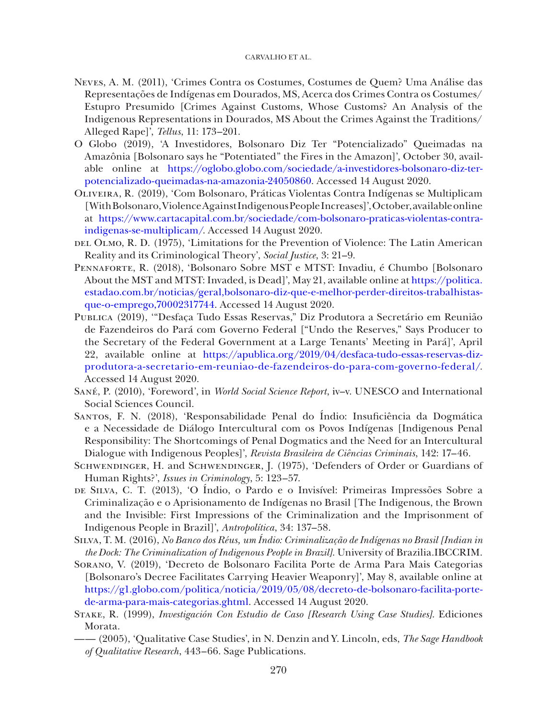- <span id="page-19-3"></span>Neves, A. M. (2011), 'Crimes Contra os Costumes, Costumes de Quem? Uma Análise das Representações de Indígenas em Dourados, MS, Acerca dos Crimes Contra os Costumes/ Estupro Presumido [Crimes Against Customs, Whose Customs? An Analysis of the Indigenous Representations in Dourados, MS About the Crimes Against the Traditions/ Alleged Rape]', *Tellus*, 11: 173–201.
- <span id="page-19-13"></span>O Globo (2019), 'A Investidores, Bolsonaro Diz Ter "Potencializado" Queimadas na Amazônia [Bolsonaro says he "Potentiated" the Fires in the Amazon]', October 30, available online at [https://oglobo.globo.com/sociedade/a-investidores-bolsonaro-diz-ter](https://oglobo.globo.com/sociedade/a-investidores-bolsonaro-diz-ter-potencializado-queimadas-na-amazonia-24050860)[potencializado-queimadas-na-amazonia-24050860.](https://oglobo.globo.com/sociedade/a-investidores-bolsonaro-diz-ter-potencializado-queimadas-na-amazonia-24050860) Accessed 14 August 2020.
- <span id="page-19-11"></span>Oliveira, R. (2019), 'Com Bolsonaro, Práticas Violentas Contra Indígenas se Multiplicam [With Bolsonaro, Violence Against Indigenous People Increases]', October, available online at [https://www.cartacapital.com.br/sociedade/com-bolsonaro-praticas-violentas-contra](https://www.cartacapital.com.br/sociedade/com-bolsonaro-praticas-violentas-contra-indigenas-se-multiplicam/)[indigenas-se-multiplicam/](https://www.cartacapital.com.br/sociedade/com-bolsonaro-praticas-violentas-contra-indigenas-se-multiplicam/). Accessed 14 August 2020.
- <span id="page-19-0"></span>DEL OLMO, R. D. (1975), 'Limitations for the Prevention of Violence: The Latin American Reality and its Criminological Theory', *Social Justice*, 3: 21–9.
- <span id="page-19-10"></span>Pennaforte, R. (2018), 'Bolsonaro Sobre MST e MTST: Invadiu, é Chumbo [Bolsonaro About the MST and MTST: Invaded, is Dead]', May 21, available online at [https://politica.](https://politica.estadao.com.br/noticias/geral,bolsonaro-diz-que-e-melhor-perder-direitos-trabalhistas-que-o-emprego,70002317744) [estadao.com.br/noticias/geral,bolsonaro-diz-que-e-melhor-perder-direitos-trabalhistas](https://politica.estadao.com.br/noticias/geral,bolsonaro-diz-que-e-melhor-perder-direitos-trabalhistas-que-o-emprego,70002317744)[que-o-emprego,70002317744.](https://politica.estadao.com.br/noticias/geral,bolsonaro-diz-que-e-melhor-perder-direitos-trabalhistas-que-o-emprego,70002317744) Accessed 14 August 2020.
- <span id="page-19-9"></span>Publica (2019), '"Desfaça Tudo Essas Reservas," Diz Produtora a Secretário em Reunião de Fazendeiros do Pará com Governo Federal ["Undo the Reserves," Says Producer to the Secretary of the Federal Government at a Large Tenants' Meeting in Pará]', April 22, available online at [https://apublica.org/2019/04/desfaca-tudo-essas-reservas-diz](https://apublica.org/2019/04/desfaca-tudo-essas-reservas-diz-produtora-a-secretario-em-reuniao-de-fazendeiros-do-para-com-governo-federal/)[produtora-a-secretario-em-reuniao-de-fazendeiros-do-para-com-governo-federal/](https://apublica.org/2019/04/desfaca-tudo-essas-reservas-diz-produtora-a-secretario-em-reuniao-de-fazendeiros-do-para-com-governo-federal/). Accessed 14 August 2020.
- <span id="page-19-5"></span>Sané, P. (2010), 'Foreword', in *World Social Science Report*, iv–v. UNESCO and International Social Sciences Council.
- <span id="page-19-4"></span>Santos, F. N. (2018), 'Responsabilidade Penal do Índio: Insuficiência da Dogmática e a Necessidade de Diálogo Intercultural com os Povos Indígenas [Indigenous Penal Responsibility: The Shortcomings of Penal Dogmatics and the Need for an Intercultural Dialogue with Indigenous Peoples]', *Revista Brasileira de Ciências Criminais*, 142: 17–46.
- <span id="page-19-8"></span>SCHWENDINGER, H. and SCHWENDINGER, J. (1975), 'Defenders of Order or Guardians of Human Rights?', *Issues in Criminology*, 5: 123–57.
- <span id="page-19-1"></span>de Silva, C. T. (2013), 'O Índio, o Pardo e o Invisível: Primeiras Impressões Sobre a Criminalização e o Aprisionamento de Indígenas no Brasil [The Indigenous, the Brown and the Invisible: First Impressions of the Criminalization and the Imprisonment of Indigenous People in Brazil]', *Antropolítica*, 34: 137–58.
- <span id="page-19-2"></span>Silva, T. M. (2016), *No Banco dos Réus, um Índio: Criminalização de Indígenas no Brasil [Indian in the Dock: The Criminalization of Indigenous People in Brazil]*. University of Brazilia.IBCCRIM.
- <span id="page-19-12"></span>Sorano, V. (2019), 'Decreto de Bolsonaro Facilita Porte de Arma Para Mais Categorias [Bolsonaro's Decree Facilitates Carrying Heavier Weaponry]', May 8, available online at [https://g1.globo.com/politica/noticia/2019/05/08/decreto-de-bolsonaro-facilita-porte](https://g1.globo.com/politica/noticia/2019/05/08/decreto-de-bolsonaro-facilita-porte-de-arma-para-mais-categorias.ghtml)[de-arma-para-mais-categorias.ghtml.](https://g1.globo.com/politica/noticia/2019/05/08/decreto-de-bolsonaro-facilita-porte-de-arma-para-mais-categorias.ghtml) Accessed 14 August 2020.
- <span id="page-19-7"></span>Stake, R. (1999), *Investigación Con Estudio de Caso [Research Using Case Studies]*. Ediciones Morata.
- <span id="page-19-6"></span>—— (2005), 'Qualitative Case Studies', in N. Denzin and Y. Lincoln, eds, *The Sage Handbook of Qualitative Research*, 443–66. Sage Publications.